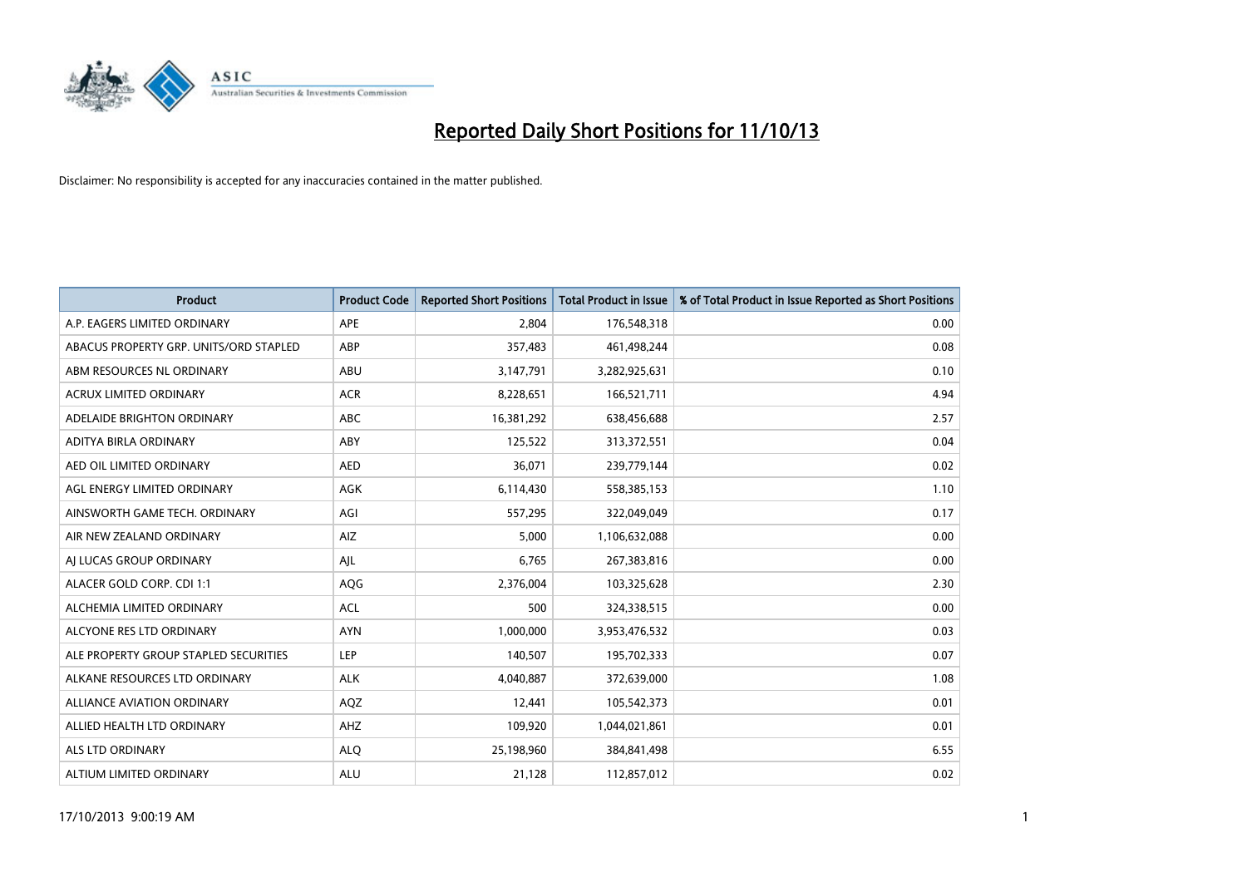

| <b>Product</b>                         | <b>Product Code</b> | <b>Reported Short Positions</b> | <b>Total Product in Issue</b> | % of Total Product in Issue Reported as Short Positions |
|----------------------------------------|---------------------|---------------------------------|-------------------------------|---------------------------------------------------------|
| A.P. EAGERS LIMITED ORDINARY           | <b>APE</b>          | 2,804                           | 176,548,318                   | 0.00                                                    |
| ABACUS PROPERTY GRP. UNITS/ORD STAPLED | ABP                 | 357,483                         | 461,498,244                   | 0.08                                                    |
| ABM RESOURCES NL ORDINARY              | ABU                 | 3,147,791                       | 3,282,925,631                 | 0.10                                                    |
| ACRUX LIMITED ORDINARY                 | <b>ACR</b>          | 8,228,651                       | 166,521,711                   | 4.94                                                    |
| ADELAIDE BRIGHTON ORDINARY             | <b>ABC</b>          | 16,381,292                      | 638,456,688                   | 2.57                                                    |
| ADITYA BIRLA ORDINARY                  | ABY                 | 125,522                         | 313,372,551                   | 0.04                                                    |
| AED OIL LIMITED ORDINARY               | <b>AED</b>          | 36,071                          | 239,779,144                   | 0.02                                                    |
| AGL ENERGY LIMITED ORDINARY            | AGK                 | 6,114,430                       | 558,385,153                   | 1.10                                                    |
| AINSWORTH GAME TECH. ORDINARY          | AGI                 | 557,295                         | 322,049,049                   | 0.17                                                    |
| AIR NEW ZEALAND ORDINARY               | AIZ.                | 5,000                           | 1,106,632,088                 | 0.00                                                    |
| AI LUCAS GROUP ORDINARY                | AJL                 | 6,765                           | 267,383,816                   | 0.00                                                    |
| ALACER GOLD CORP. CDI 1:1              | AQG                 | 2,376,004                       | 103,325,628                   | 2.30                                                    |
| ALCHEMIA LIMITED ORDINARY              | <b>ACL</b>          | 500                             | 324,338,515                   | 0.00                                                    |
| ALCYONE RES LTD ORDINARY               | <b>AYN</b>          | 1,000,000                       | 3,953,476,532                 | 0.03                                                    |
| ALE PROPERTY GROUP STAPLED SECURITIES  | <b>LEP</b>          | 140,507                         | 195,702,333                   | 0.07                                                    |
| ALKANE RESOURCES LTD ORDINARY          | <b>ALK</b>          | 4,040,887                       | 372,639,000                   | 1.08                                                    |
| ALLIANCE AVIATION ORDINARY             | AQZ                 | 12,441                          | 105,542,373                   | 0.01                                                    |
| ALLIED HEALTH LTD ORDINARY             | AHZ                 | 109,920                         | 1,044,021,861                 | 0.01                                                    |
| ALS LTD ORDINARY                       | <b>ALO</b>          | 25,198,960                      | 384, 841, 498                 | 6.55                                                    |
| ALTIUM LIMITED ORDINARY                | <b>ALU</b>          | 21,128                          | 112,857,012                   | 0.02                                                    |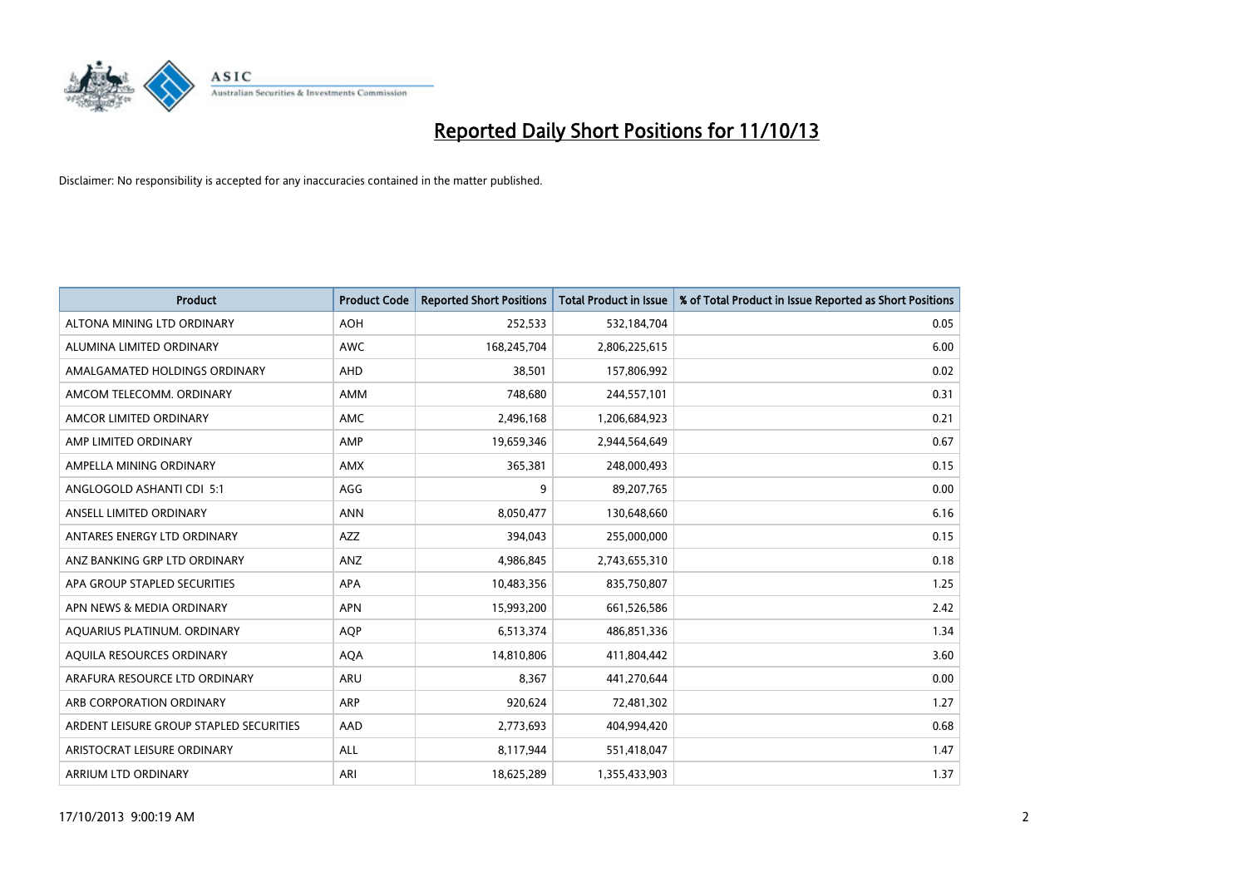

| <b>Product</b>                          | <b>Product Code</b> | <b>Reported Short Positions</b> | <b>Total Product in Issue</b> | % of Total Product in Issue Reported as Short Positions |
|-----------------------------------------|---------------------|---------------------------------|-------------------------------|---------------------------------------------------------|
| ALTONA MINING LTD ORDINARY              | <b>AOH</b>          | 252,533                         | 532,184,704                   | 0.05                                                    |
| ALUMINA LIMITED ORDINARY                | AWC                 | 168,245,704                     | 2,806,225,615                 | 6.00                                                    |
| AMALGAMATED HOLDINGS ORDINARY           | AHD                 | 38,501                          | 157,806,992                   | 0.02                                                    |
| AMCOM TELECOMM. ORDINARY                | AMM                 | 748,680                         | 244,557,101                   | 0.31                                                    |
| AMCOR LIMITED ORDINARY                  | AMC                 | 2,496,168                       | 1,206,684,923                 | 0.21                                                    |
| AMP LIMITED ORDINARY                    | AMP                 | 19,659,346                      | 2,944,564,649                 | 0.67                                                    |
| AMPELLA MINING ORDINARY                 | <b>AMX</b>          | 365,381                         | 248,000,493                   | 0.15                                                    |
| ANGLOGOLD ASHANTI CDI 5:1               | AGG                 | 9                               | 89,207,765                    | 0.00                                                    |
| ANSELL LIMITED ORDINARY                 | <b>ANN</b>          | 8,050,477                       | 130,648,660                   | 6.16                                                    |
| ANTARES ENERGY LTD ORDINARY             | AZZ                 | 394,043                         | 255,000,000                   | 0.15                                                    |
| ANZ BANKING GRP LTD ORDINARY            | ANZ                 | 4,986,845                       | 2,743,655,310                 | 0.18                                                    |
| APA GROUP STAPLED SECURITIES            | APA                 | 10,483,356                      | 835,750,807                   | 1.25                                                    |
| APN NEWS & MEDIA ORDINARY               | <b>APN</b>          | 15,993,200                      | 661,526,586                   | 2.42                                                    |
| AQUARIUS PLATINUM. ORDINARY             | <b>AOP</b>          | 6,513,374                       | 486,851,336                   | 1.34                                                    |
| AQUILA RESOURCES ORDINARY               | <b>AQA</b>          | 14,810,806                      | 411,804,442                   | 3.60                                                    |
| ARAFURA RESOURCE LTD ORDINARY           | ARU                 | 8,367                           | 441,270,644                   | 0.00                                                    |
| ARB CORPORATION ORDINARY                | ARP                 | 920,624                         | 72,481,302                    | 1.27                                                    |
| ARDENT LEISURE GROUP STAPLED SECURITIES | AAD                 | 2,773,693                       | 404,994,420                   | 0.68                                                    |
| ARISTOCRAT LEISURE ORDINARY             | ALL                 | 8,117,944                       | 551,418,047                   | 1.47                                                    |
| ARRIUM LTD ORDINARY                     | ARI                 | 18,625,289                      | 1,355,433,903                 | 1.37                                                    |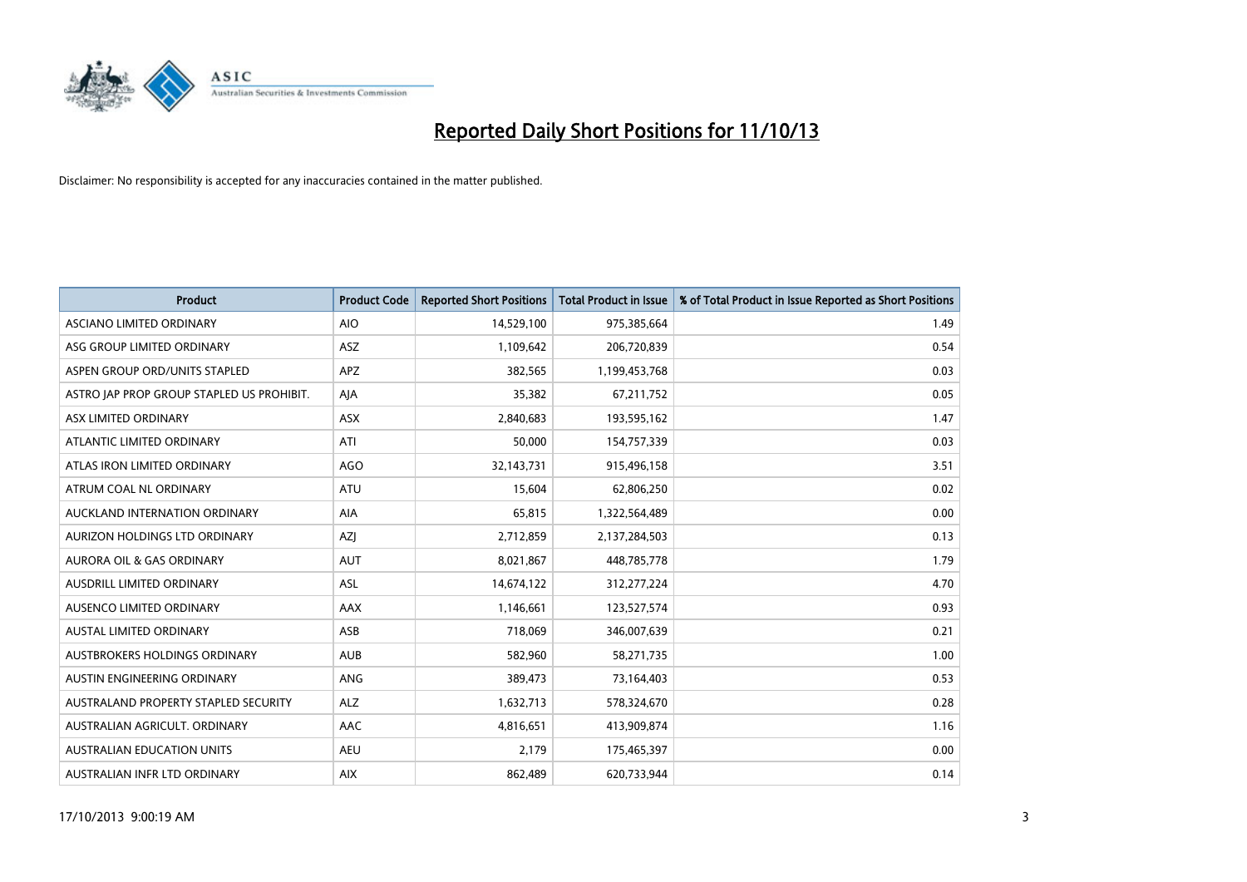

| <b>Product</b>                            | <b>Product Code</b> | <b>Reported Short Positions</b> | <b>Total Product in Issue</b> | % of Total Product in Issue Reported as Short Positions |
|-------------------------------------------|---------------------|---------------------------------|-------------------------------|---------------------------------------------------------|
| ASCIANO LIMITED ORDINARY                  | <b>AIO</b>          | 14,529,100                      | 975,385,664                   | 1.49                                                    |
| ASG GROUP LIMITED ORDINARY                | ASZ                 | 1,109,642                       | 206,720,839                   | 0.54                                                    |
| ASPEN GROUP ORD/UNITS STAPLED             | <b>APZ</b>          | 382,565                         | 1,199,453,768                 | 0.03                                                    |
| ASTRO JAP PROP GROUP STAPLED US PROHIBIT. | AJA                 | 35,382                          | 67,211,752                    | 0.05                                                    |
| ASX LIMITED ORDINARY                      | ASX                 | 2,840,683                       | 193,595,162                   | 1.47                                                    |
| ATLANTIC LIMITED ORDINARY                 | ATI                 | 50,000                          | 154,757,339                   | 0.03                                                    |
| ATLAS IRON LIMITED ORDINARY               | <b>AGO</b>          | 32,143,731                      | 915,496,158                   | 3.51                                                    |
| ATRUM COAL NL ORDINARY                    | ATU                 | 15,604                          | 62,806,250                    | 0.02                                                    |
| AUCKLAND INTERNATION ORDINARY             | <b>AIA</b>          | 65,815                          | 1,322,564,489                 | 0.00                                                    |
| AURIZON HOLDINGS LTD ORDINARY             | AZI                 | 2,712,859                       | 2,137,284,503                 | 0.13                                                    |
| AURORA OIL & GAS ORDINARY                 | <b>AUT</b>          | 8,021,867                       | 448,785,778                   | 1.79                                                    |
| AUSDRILL LIMITED ORDINARY                 | ASL                 | 14,674,122                      | 312,277,224                   | 4.70                                                    |
| AUSENCO LIMITED ORDINARY                  | AAX                 | 1,146,661                       | 123,527,574                   | 0.93                                                    |
| <b>AUSTAL LIMITED ORDINARY</b>            | ASB                 | 718,069                         | 346,007,639                   | 0.21                                                    |
| AUSTBROKERS HOLDINGS ORDINARY             | <b>AUB</b>          | 582,960                         | 58,271,735                    | 1.00                                                    |
| AUSTIN ENGINEERING ORDINARY               | ANG                 | 389,473                         | 73,164,403                    | 0.53                                                    |
| AUSTRALAND PROPERTY STAPLED SECURITY      | <b>ALZ</b>          | 1,632,713                       | 578,324,670                   | 0.28                                                    |
| AUSTRALIAN AGRICULT. ORDINARY             | AAC                 | 4,816,651                       | 413,909,874                   | 1.16                                                    |
| <b>AUSTRALIAN EDUCATION UNITS</b>         | <b>AEU</b>          | 2,179                           | 175,465,397                   | 0.00                                                    |
| AUSTRALIAN INFR LTD ORDINARY              | <b>AIX</b>          | 862,489                         | 620,733,944                   | 0.14                                                    |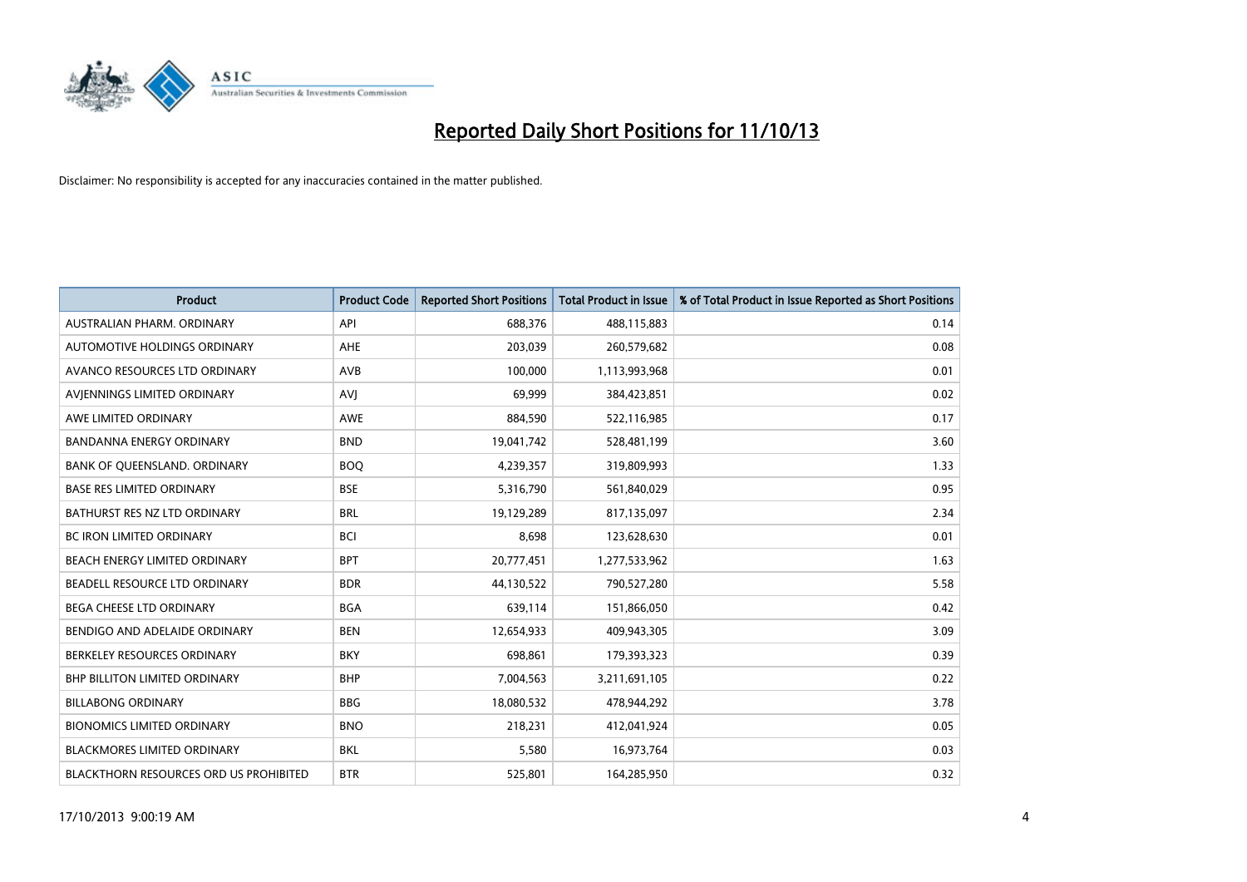

| <b>Product</b>                         | <b>Product Code</b> | <b>Reported Short Positions</b> | <b>Total Product in Issue</b> | % of Total Product in Issue Reported as Short Positions |
|----------------------------------------|---------------------|---------------------------------|-------------------------------|---------------------------------------------------------|
| AUSTRALIAN PHARM, ORDINARY             | API                 | 688,376                         | 488,115,883                   | 0.14                                                    |
| AUTOMOTIVE HOLDINGS ORDINARY           | AHE                 | 203,039                         | 260,579,682                   | 0.08                                                    |
| AVANCO RESOURCES LTD ORDINARY          | AVB                 | 100,000                         | 1,113,993,968                 | 0.01                                                    |
| AVJENNINGS LIMITED ORDINARY            | <b>AVJ</b>          | 69,999                          | 384,423,851                   | 0.02                                                    |
| AWE LIMITED ORDINARY                   | <b>AWE</b>          | 884,590                         | 522,116,985                   | 0.17                                                    |
| <b>BANDANNA ENERGY ORDINARY</b>        | <b>BND</b>          | 19,041,742                      | 528,481,199                   | 3.60                                                    |
| BANK OF QUEENSLAND. ORDINARY           | <b>BOO</b>          | 4,239,357                       | 319,809,993                   | 1.33                                                    |
| <b>BASE RES LIMITED ORDINARY</b>       | <b>BSE</b>          | 5,316,790                       | 561,840,029                   | 0.95                                                    |
| BATHURST RES NZ LTD ORDINARY           | <b>BRL</b>          | 19,129,289                      | 817,135,097                   | 2.34                                                    |
| <b>BC IRON LIMITED ORDINARY</b>        | <b>BCI</b>          | 8,698                           | 123,628,630                   | 0.01                                                    |
| BEACH ENERGY LIMITED ORDINARY          | <b>BPT</b>          | 20,777,451                      | 1,277,533,962                 | 1.63                                                    |
| BEADELL RESOURCE LTD ORDINARY          | <b>BDR</b>          | 44,130,522                      | 790,527,280                   | 5.58                                                    |
| BEGA CHEESE LTD ORDINARY               | <b>BGA</b>          | 639,114                         | 151,866,050                   | 0.42                                                    |
| BENDIGO AND ADELAIDE ORDINARY          | <b>BEN</b>          | 12,654,933                      | 409,943,305                   | 3.09                                                    |
| BERKELEY RESOURCES ORDINARY            | <b>BKY</b>          | 698,861                         | 179,393,323                   | 0.39                                                    |
| <b>BHP BILLITON LIMITED ORDINARY</b>   | <b>BHP</b>          | 7,004,563                       | 3,211,691,105                 | 0.22                                                    |
| <b>BILLABONG ORDINARY</b>              | BBG                 | 18,080,532                      | 478,944,292                   | 3.78                                                    |
| <b>BIONOMICS LIMITED ORDINARY</b>      | <b>BNO</b>          | 218,231                         | 412,041,924                   | 0.05                                                    |
| <b>BLACKMORES LIMITED ORDINARY</b>     | <b>BKL</b>          | 5,580                           | 16,973,764                    | 0.03                                                    |
| BLACKTHORN RESOURCES ORD US PROHIBITED | <b>BTR</b>          | 525,801                         | 164,285,950                   | 0.32                                                    |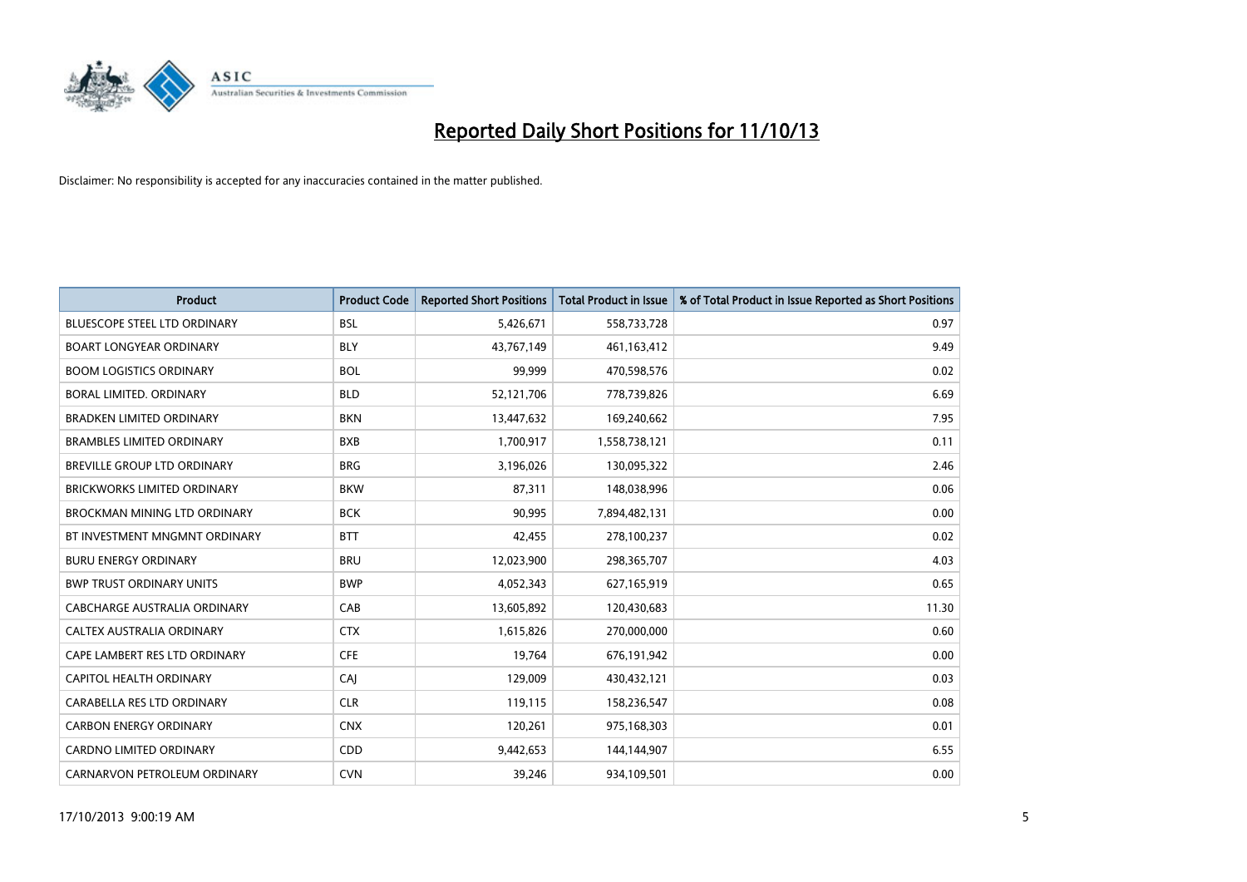

| <b>Product</b>                      | <b>Product Code</b> | <b>Reported Short Positions</b> | <b>Total Product in Issue</b> | % of Total Product in Issue Reported as Short Positions |
|-------------------------------------|---------------------|---------------------------------|-------------------------------|---------------------------------------------------------|
| <b>BLUESCOPE STEEL LTD ORDINARY</b> | <b>BSL</b>          | 5,426,671                       | 558,733,728                   | 0.97                                                    |
| <b>BOART LONGYEAR ORDINARY</b>      | <b>BLY</b>          | 43,767,149                      | 461,163,412                   | 9.49                                                    |
| <b>BOOM LOGISTICS ORDINARY</b>      | <b>BOL</b>          | 99,999                          | 470,598,576                   | 0.02                                                    |
| BORAL LIMITED. ORDINARY             | <b>BLD</b>          | 52,121,706                      | 778,739,826                   | 6.69                                                    |
| <b>BRADKEN LIMITED ORDINARY</b>     | <b>BKN</b>          | 13,447,632                      | 169,240,662                   | 7.95                                                    |
| <b>BRAMBLES LIMITED ORDINARY</b>    | <b>BXB</b>          | 1,700,917                       | 1,558,738,121                 | 0.11                                                    |
| BREVILLE GROUP LTD ORDINARY         | <b>BRG</b>          | 3,196,026                       | 130,095,322                   | 2.46                                                    |
| <b>BRICKWORKS LIMITED ORDINARY</b>  | <b>BKW</b>          | 87,311                          | 148,038,996                   | 0.06                                                    |
| <b>BROCKMAN MINING LTD ORDINARY</b> | <b>BCK</b>          | 90,995                          | 7,894,482,131                 | 0.00                                                    |
| BT INVESTMENT MNGMNT ORDINARY       | <b>BTT</b>          | 42,455                          | 278,100,237                   | 0.02                                                    |
| <b>BURU ENERGY ORDINARY</b>         | <b>BRU</b>          | 12,023,900                      | 298,365,707                   | 4.03                                                    |
| <b>BWP TRUST ORDINARY UNITS</b>     | <b>BWP</b>          | 4,052,343                       | 627,165,919                   | 0.65                                                    |
| CABCHARGE AUSTRALIA ORDINARY        | CAB                 | 13,605,892                      | 120,430,683                   | 11.30                                                   |
| CALTEX AUSTRALIA ORDINARY           | <b>CTX</b>          | 1,615,826                       | 270,000,000                   | 0.60                                                    |
| CAPE LAMBERT RES LTD ORDINARY       | <b>CFE</b>          | 19,764                          | 676,191,942                   | 0.00                                                    |
| CAPITOL HEALTH ORDINARY             | CAJ                 | 129,009                         | 430,432,121                   | 0.03                                                    |
| CARABELLA RES LTD ORDINARY          | <b>CLR</b>          | 119,115                         | 158,236,547                   | 0.08                                                    |
| <b>CARBON ENERGY ORDINARY</b>       | <b>CNX</b>          | 120,261                         | 975,168,303                   | 0.01                                                    |
| <b>CARDNO LIMITED ORDINARY</b>      | CDD                 | 9,442,653                       | 144,144,907                   | 6.55                                                    |
| CARNARVON PETROLEUM ORDINARY        | <b>CVN</b>          | 39,246                          | 934,109,501                   | 0.00                                                    |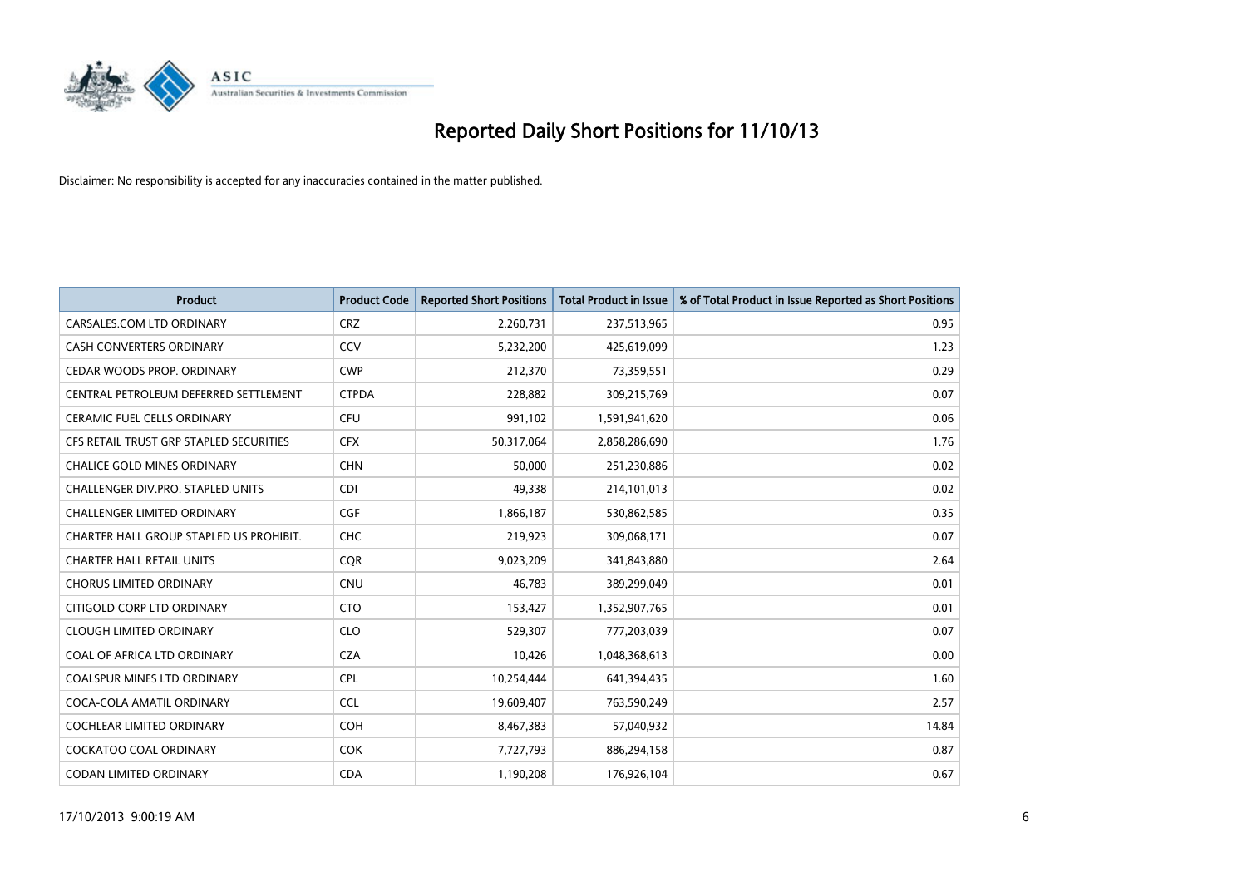

| <b>Product</b>                          | <b>Product Code</b> | <b>Reported Short Positions</b> | <b>Total Product in Issue</b> | % of Total Product in Issue Reported as Short Positions |
|-----------------------------------------|---------------------|---------------------------------|-------------------------------|---------------------------------------------------------|
| CARSALES.COM LTD ORDINARY               | <b>CRZ</b>          | 2,260,731                       | 237,513,965                   | 0.95                                                    |
| <b>CASH CONVERTERS ORDINARY</b>         | CCV                 | 5,232,200                       | 425,619,099                   | 1.23                                                    |
| CEDAR WOODS PROP. ORDINARY              | <b>CWP</b>          | 212,370                         | 73,359,551                    | 0.29                                                    |
| CENTRAL PETROLEUM DEFERRED SETTLEMENT   | <b>CTPDA</b>        | 228,882                         | 309,215,769                   | 0.07                                                    |
| <b>CERAMIC FUEL CELLS ORDINARY</b>      | <b>CFU</b>          | 991,102                         | 1,591,941,620                 | 0.06                                                    |
| CFS RETAIL TRUST GRP STAPLED SECURITIES | <b>CFX</b>          | 50,317,064                      | 2,858,286,690                 | 1.76                                                    |
| <b>CHALICE GOLD MINES ORDINARY</b>      | <b>CHN</b>          | 50,000                          | 251,230,886                   | 0.02                                                    |
| CHALLENGER DIV.PRO. STAPLED UNITS       | <b>CDI</b>          | 49,338                          | 214,101,013                   | 0.02                                                    |
| <b>CHALLENGER LIMITED ORDINARY</b>      | <b>CGF</b>          | 1,866,187                       | 530,862,585                   | 0.35                                                    |
| CHARTER HALL GROUP STAPLED US PROHIBIT. | <b>CHC</b>          | 219,923                         | 309,068,171                   | 0.07                                                    |
| <b>CHARTER HALL RETAIL UNITS</b>        | <b>CQR</b>          | 9,023,209                       | 341,843,880                   | 2.64                                                    |
| <b>CHORUS LIMITED ORDINARY</b>          | <b>CNU</b>          | 46,783                          | 389,299,049                   | 0.01                                                    |
| CITIGOLD CORP LTD ORDINARY              | <b>CTO</b>          | 153,427                         | 1,352,907,765                 | 0.01                                                    |
| <b>CLOUGH LIMITED ORDINARY</b>          | <b>CLO</b>          | 529,307                         | 777,203,039                   | 0.07                                                    |
| COAL OF AFRICA LTD ORDINARY             | <b>CZA</b>          | 10,426                          | 1,048,368,613                 | 0.00                                                    |
| COALSPUR MINES LTD ORDINARY             | <b>CPL</b>          | 10,254,444                      | 641,394,435                   | 1.60                                                    |
| COCA-COLA AMATIL ORDINARY               | <b>CCL</b>          | 19,609,407                      | 763,590,249                   | 2.57                                                    |
| COCHLEAR LIMITED ORDINARY               | <b>COH</b>          | 8,467,383                       | 57,040,932                    | 14.84                                                   |
| <b>COCKATOO COAL ORDINARY</b>           | <b>COK</b>          | 7,727,793                       | 886,294,158                   | 0.87                                                    |
| CODAN LIMITED ORDINARY                  | <b>CDA</b>          | 1,190,208                       | 176,926,104                   | 0.67                                                    |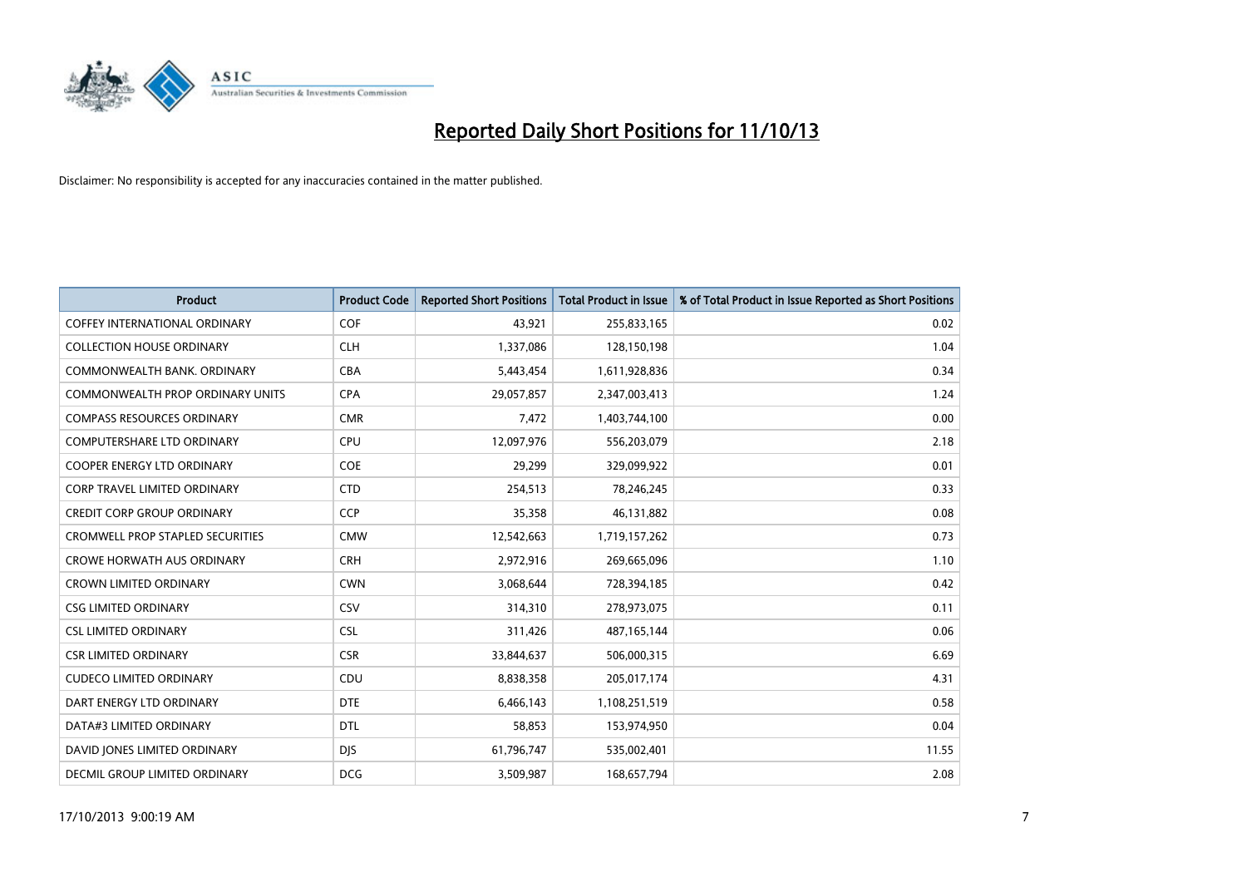

| <b>Product</b>                          | <b>Product Code</b> | <b>Reported Short Positions</b> | <b>Total Product in Issue</b> | % of Total Product in Issue Reported as Short Positions |
|-----------------------------------------|---------------------|---------------------------------|-------------------------------|---------------------------------------------------------|
| <b>COFFEY INTERNATIONAL ORDINARY</b>    | <b>COF</b>          | 43,921                          | 255,833,165                   | 0.02                                                    |
| <b>COLLECTION HOUSE ORDINARY</b>        | <b>CLH</b>          | 1,337,086                       | 128,150,198                   | 1.04                                                    |
| COMMONWEALTH BANK, ORDINARY             | <b>CBA</b>          | 5,443,454                       | 1,611,928,836                 | 0.34                                                    |
| <b>COMMONWEALTH PROP ORDINARY UNITS</b> | <b>CPA</b>          | 29,057,857                      | 2,347,003,413                 | 1.24                                                    |
| <b>COMPASS RESOURCES ORDINARY</b>       | <b>CMR</b>          | 7,472                           | 1,403,744,100                 | 0.00                                                    |
| <b>COMPUTERSHARE LTD ORDINARY</b>       | <b>CPU</b>          | 12,097,976                      | 556,203,079                   | 2.18                                                    |
| <b>COOPER ENERGY LTD ORDINARY</b>       | <b>COE</b>          | 29,299                          | 329,099,922                   | 0.01                                                    |
| CORP TRAVEL LIMITED ORDINARY            | <b>CTD</b>          | 254,513                         | 78,246,245                    | 0.33                                                    |
| <b>CREDIT CORP GROUP ORDINARY</b>       | <b>CCP</b>          | 35,358                          | 46,131,882                    | 0.08                                                    |
| <b>CROMWELL PROP STAPLED SECURITIES</b> | <b>CMW</b>          | 12,542,663                      | 1,719,157,262                 | 0.73                                                    |
| <b>CROWE HORWATH AUS ORDINARY</b>       | <b>CRH</b>          | 2,972,916                       | 269,665,096                   | 1.10                                                    |
| <b>CROWN LIMITED ORDINARY</b>           | <b>CWN</b>          | 3,068,644                       | 728,394,185                   | 0.42                                                    |
| <b>CSG LIMITED ORDINARY</b>             | CSV                 | 314,310                         | 278,973,075                   | 0.11                                                    |
| <b>CSL LIMITED ORDINARY</b>             | <b>CSL</b>          | 311,426                         | 487,165,144                   | 0.06                                                    |
| <b>CSR LIMITED ORDINARY</b>             | <b>CSR</b>          | 33,844,637                      | 506,000,315                   | 6.69                                                    |
| <b>CUDECO LIMITED ORDINARY</b>          | CDU                 | 8,838,358                       | 205,017,174                   | 4.31                                                    |
| DART ENERGY LTD ORDINARY                | <b>DTE</b>          | 6,466,143                       | 1,108,251,519                 | 0.58                                                    |
| DATA#3 LIMITED ORDINARY                 | <b>DTL</b>          | 58,853                          | 153,974,950                   | 0.04                                                    |
| DAVID JONES LIMITED ORDINARY            | <b>DJS</b>          | 61,796,747                      | 535,002,401                   | 11.55                                                   |
| <b>DECMIL GROUP LIMITED ORDINARY</b>    | <b>DCG</b>          | 3,509,987                       | 168,657,794                   | 2.08                                                    |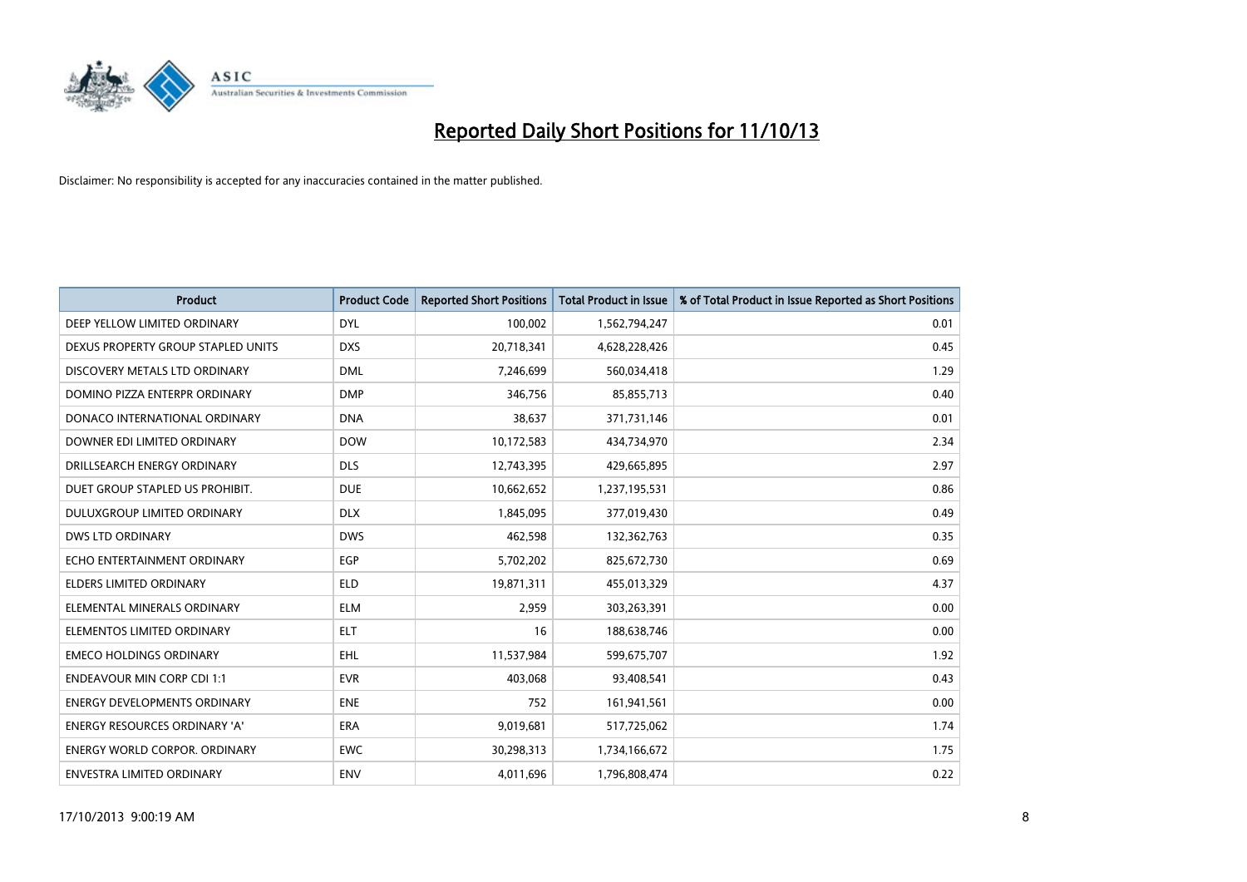

| <b>Product</b>                       | <b>Product Code</b> | <b>Reported Short Positions</b> | <b>Total Product in Issue</b> | % of Total Product in Issue Reported as Short Positions |
|--------------------------------------|---------------------|---------------------------------|-------------------------------|---------------------------------------------------------|
| DEEP YELLOW LIMITED ORDINARY         | <b>DYL</b>          | 100,002                         | 1,562,794,247                 | 0.01                                                    |
| DEXUS PROPERTY GROUP STAPLED UNITS   | <b>DXS</b>          | 20,718,341                      | 4,628,228,426                 | 0.45                                                    |
| DISCOVERY METALS LTD ORDINARY        | <b>DML</b>          | 7,246,699                       | 560,034,418                   | 1.29                                                    |
| DOMINO PIZZA ENTERPR ORDINARY        | <b>DMP</b>          | 346,756                         | 85,855,713                    | 0.40                                                    |
| DONACO INTERNATIONAL ORDINARY        | <b>DNA</b>          | 38,637                          | 371,731,146                   | 0.01                                                    |
| DOWNER EDI LIMITED ORDINARY          | <b>DOW</b>          | 10,172,583                      | 434,734,970                   | 2.34                                                    |
| DRILLSEARCH ENERGY ORDINARY          | <b>DLS</b>          | 12,743,395                      | 429,665,895                   | 2.97                                                    |
| DUET GROUP STAPLED US PROHIBIT.      | <b>DUE</b>          | 10,662,652                      | 1,237,195,531                 | 0.86                                                    |
| DULUXGROUP LIMITED ORDINARY          | <b>DLX</b>          | 1,845,095                       | 377,019,430                   | 0.49                                                    |
| DWS LTD ORDINARY                     | <b>DWS</b>          | 462,598                         | 132,362,763                   | 0.35                                                    |
| ECHO ENTERTAINMENT ORDINARY          | <b>EGP</b>          | 5,702,202                       | 825,672,730                   | 0.69                                                    |
| <b>ELDERS LIMITED ORDINARY</b>       | <b>ELD</b>          | 19,871,311                      | 455,013,329                   | 4.37                                                    |
| ELEMENTAL MINERALS ORDINARY          | <b>ELM</b>          | 2,959                           | 303,263,391                   | 0.00                                                    |
| ELEMENTOS LIMITED ORDINARY           | <b>ELT</b>          | 16                              | 188,638,746                   | 0.00                                                    |
| <b>EMECO HOLDINGS ORDINARY</b>       | <b>EHL</b>          | 11,537,984                      | 599,675,707                   | 1.92                                                    |
| <b>ENDEAVOUR MIN CORP CDI 1:1</b>    | <b>EVR</b>          | 403,068                         | 93,408,541                    | 0.43                                                    |
| ENERGY DEVELOPMENTS ORDINARY         | <b>ENE</b>          | 752                             | 161,941,561                   | 0.00                                                    |
| <b>ENERGY RESOURCES ORDINARY 'A'</b> | <b>ERA</b>          | 9,019,681                       | 517,725,062                   | 1.74                                                    |
| <b>ENERGY WORLD CORPOR, ORDINARY</b> | <b>EWC</b>          | 30,298,313                      | 1,734,166,672                 | 1.75                                                    |
| ENVESTRA LIMITED ORDINARY            | ENV                 | 4,011,696                       | 1,796,808,474                 | 0.22                                                    |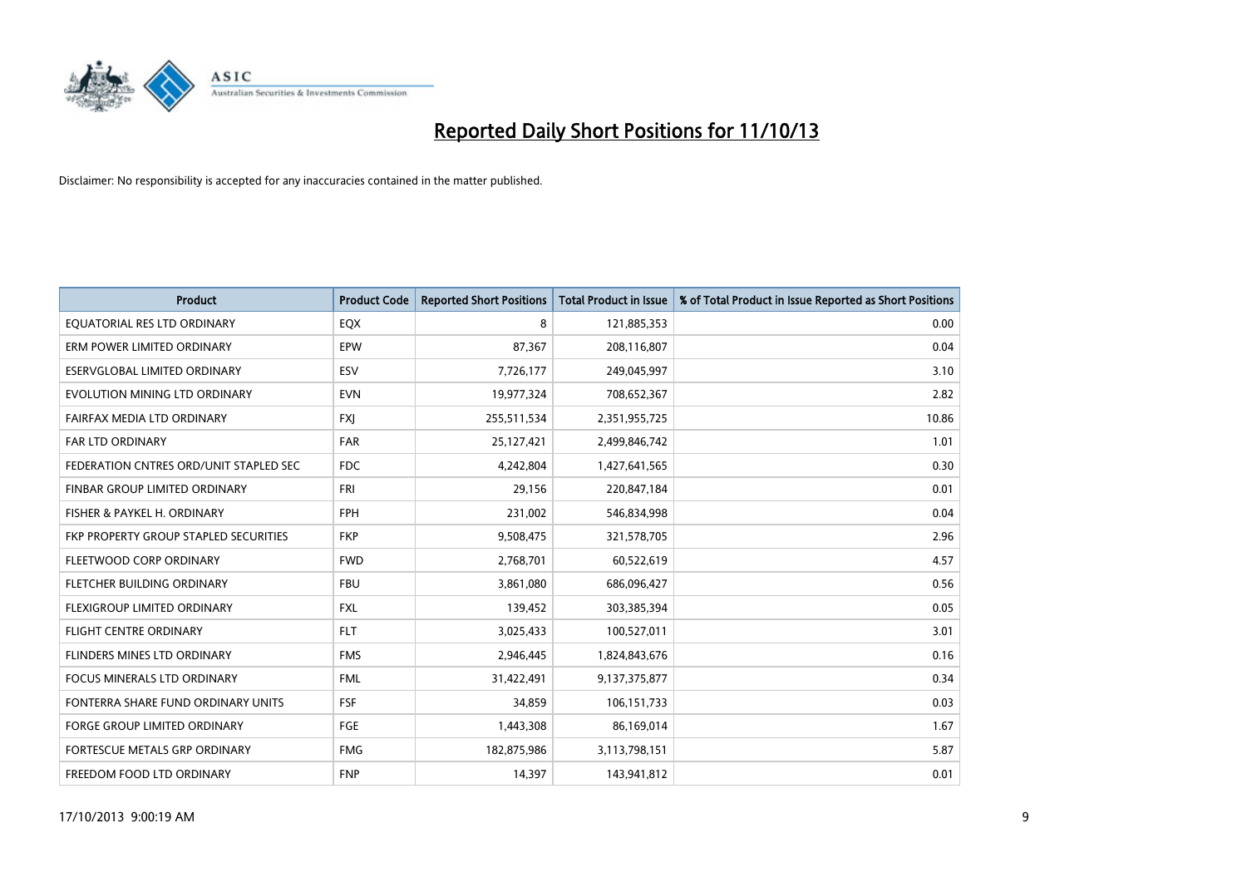

| <b>Product</b>                         | <b>Product Code</b> | <b>Reported Short Positions</b> | <b>Total Product in Issue</b> | % of Total Product in Issue Reported as Short Positions |
|----------------------------------------|---------------------|---------------------------------|-------------------------------|---------------------------------------------------------|
| EQUATORIAL RES LTD ORDINARY            | EQX                 | 8                               | 121,885,353                   | 0.00                                                    |
| ERM POWER LIMITED ORDINARY             | EPW                 | 87,367                          | 208,116,807                   | 0.04                                                    |
| ESERVGLOBAL LIMITED ORDINARY           | ESV                 | 7,726,177                       | 249,045,997                   | 3.10                                                    |
| EVOLUTION MINING LTD ORDINARY          | <b>EVN</b>          | 19,977,324                      | 708,652,367                   | 2.82                                                    |
| FAIRFAX MEDIA LTD ORDINARY             | <b>FXJ</b>          | 255,511,534                     | 2,351,955,725                 | 10.86                                                   |
| FAR LTD ORDINARY                       | FAR                 | 25,127,421                      | 2,499,846,742                 | 1.01                                                    |
| FEDERATION CNTRES ORD/UNIT STAPLED SEC | <b>FDC</b>          | 4,242,804                       | 1,427,641,565                 | 0.30                                                    |
| FINBAR GROUP LIMITED ORDINARY          | FRI                 | 29,156                          | 220,847,184                   | 0.01                                                    |
| FISHER & PAYKEL H. ORDINARY            | <b>FPH</b>          | 231,002                         | 546,834,998                   | 0.04                                                    |
| FKP PROPERTY GROUP STAPLED SECURITIES  | <b>FKP</b>          | 9,508,475                       | 321,578,705                   | 2.96                                                    |
| FLEETWOOD CORP ORDINARY                | <b>FWD</b>          | 2,768,701                       | 60,522,619                    | 4.57                                                    |
| FLETCHER BUILDING ORDINARY             | <b>FBU</b>          | 3,861,080                       | 686,096,427                   | 0.56                                                    |
| FLEXIGROUP LIMITED ORDINARY            | FXL                 | 139,452                         | 303,385,394                   | 0.05                                                    |
| <b>FLIGHT CENTRE ORDINARY</b>          | <b>FLT</b>          | 3,025,433                       | 100,527,011                   | 3.01                                                    |
| FLINDERS MINES LTD ORDINARY            | <b>FMS</b>          | 2,946,445                       | 1,824,843,676                 | 0.16                                                    |
| <b>FOCUS MINERALS LTD ORDINARY</b>     | <b>FML</b>          | 31,422,491                      | 9,137,375,877                 | 0.34                                                    |
| FONTERRA SHARE FUND ORDINARY UNITS     | <b>FSF</b>          | 34,859                          | 106,151,733                   | 0.03                                                    |
| <b>FORGE GROUP LIMITED ORDINARY</b>    | FGE                 | 1,443,308                       | 86,169,014                    | 1.67                                                    |
| FORTESCUE METALS GRP ORDINARY          | <b>FMG</b>          | 182,875,986                     | 3,113,798,151                 | 5.87                                                    |
| FREEDOM FOOD LTD ORDINARY              | <b>FNP</b>          | 14,397                          | 143,941,812                   | 0.01                                                    |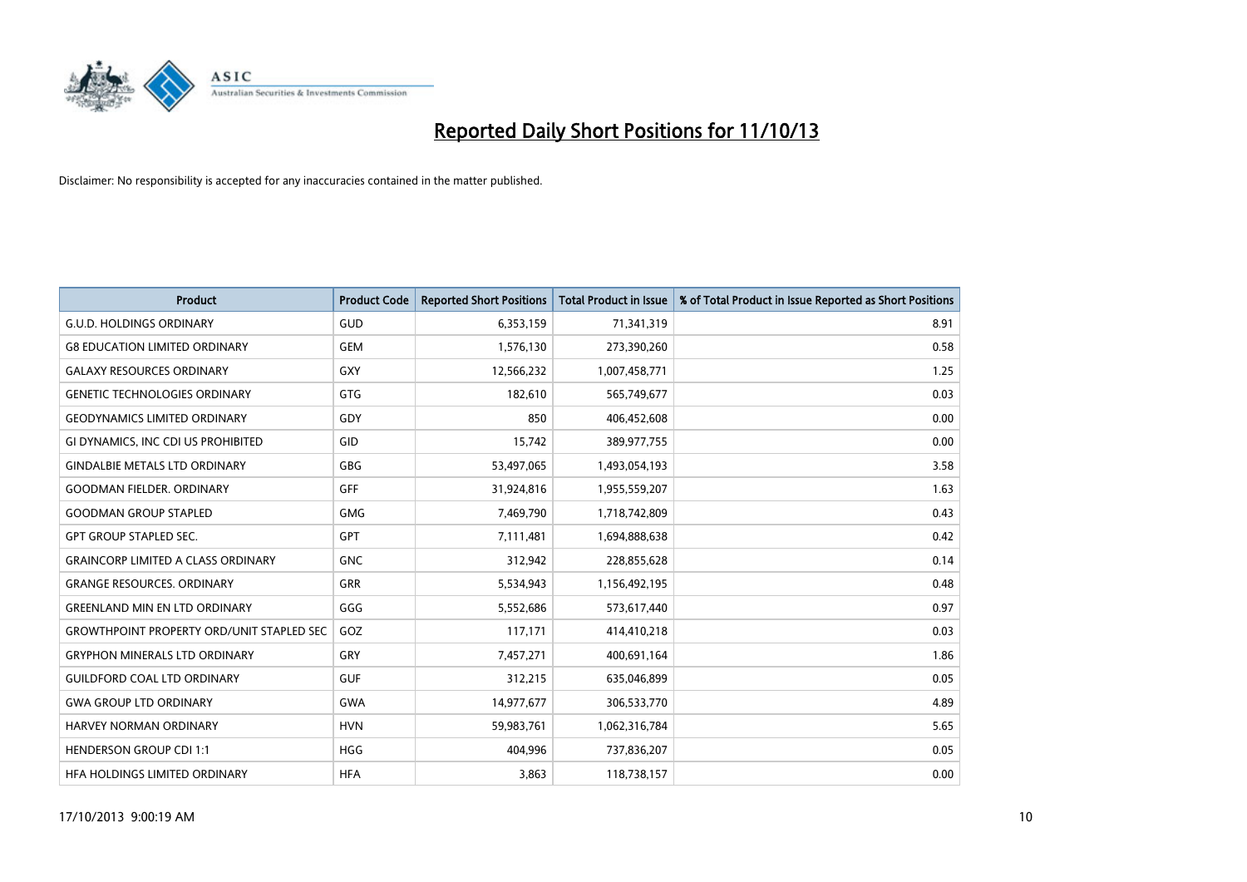

| <b>Product</b>                                   | <b>Product Code</b> | <b>Reported Short Positions</b> | <b>Total Product in Issue</b> | % of Total Product in Issue Reported as Short Positions |
|--------------------------------------------------|---------------------|---------------------------------|-------------------------------|---------------------------------------------------------|
| <b>G.U.D. HOLDINGS ORDINARY</b>                  | GUD                 | 6,353,159                       | 71,341,319                    | 8.91                                                    |
| <b>G8 EDUCATION LIMITED ORDINARY</b>             | <b>GEM</b>          | 1,576,130                       | 273,390,260                   | 0.58                                                    |
| <b>GALAXY RESOURCES ORDINARY</b>                 | <b>GXY</b>          | 12,566,232                      | 1,007,458,771                 | 1.25                                                    |
| <b>GENETIC TECHNOLOGIES ORDINARY</b>             | <b>GTG</b>          | 182,610                         | 565,749,677                   | 0.03                                                    |
| <b>GEODYNAMICS LIMITED ORDINARY</b>              | GDY                 | 850                             | 406,452,608                   | 0.00                                                    |
| GI DYNAMICS, INC CDI US PROHIBITED               | GID                 | 15,742                          | 389,977,755                   | 0.00                                                    |
| <b>GINDALBIE METALS LTD ORDINARY</b>             | <b>GBG</b>          | 53,497,065                      | 1,493,054,193                 | 3.58                                                    |
| <b>GOODMAN FIELDER, ORDINARY</b>                 | GFF                 | 31,924,816                      | 1,955,559,207                 | 1.63                                                    |
| <b>GOODMAN GROUP STAPLED</b>                     | <b>GMG</b>          | 7,469,790                       | 1,718,742,809                 | 0.43                                                    |
| <b>GPT GROUP STAPLED SEC.</b>                    | <b>GPT</b>          | 7,111,481                       | 1,694,888,638                 | 0.42                                                    |
| <b>GRAINCORP LIMITED A CLASS ORDINARY</b>        | <b>GNC</b>          | 312,942                         | 228,855,628                   | 0.14                                                    |
| <b>GRANGE RESOURCES, ORDINARY</b>                | <b>GRR</b>          | 5,534,943                       | 1,156,492,195                 | 0.48                                                    |
| <b>GREENLAND MIN EN LTD ORDINARY</b>             | GGG                 | 5,552,686                       | 573,617,440                   | 0.97                                                    |
| <b>GROWTHPOINT PROPERTY ORD/UNIT STAPLED SEC</b> | GOZ                 | 117,171                         | 414,410,218                   | 0.03                                                    |
| <b>GRYPHON MINERALS LTD ORDINARY</b>             | GRY                 | 7,457,271                       | 400,691,164                   | 1.86                                                    |
| <b>GUILDFORD COAL LTD ORDINARY</b>               | <b>GUF</b>          | 312,215                         | 635,046,899                   | 0.05                                                    |
| <b>GWA GROUP LTD ORDINARY</b>                    | <b>GWA</b>          | 14,977,677                      | 306,533,770                   | 4.89                                                    |
| <b>HARVEY NORMAN ORDINARY</b>                    | <b>HVN</b>          | 59,983,761                      | 1,062,316,784                 | 5.65                                                    |
| <b>HENDERSON GROUP CDI 1:1</b>                   | <b>HGG</b>          | 404,996                         | 737,836,207                   | 0.05                                                    |
| HFA HOLDINGS LIMITED ORDINARY                    | <b>HFA</b>          | 3,863                           | 118,738,157                   | 0.00                                                    |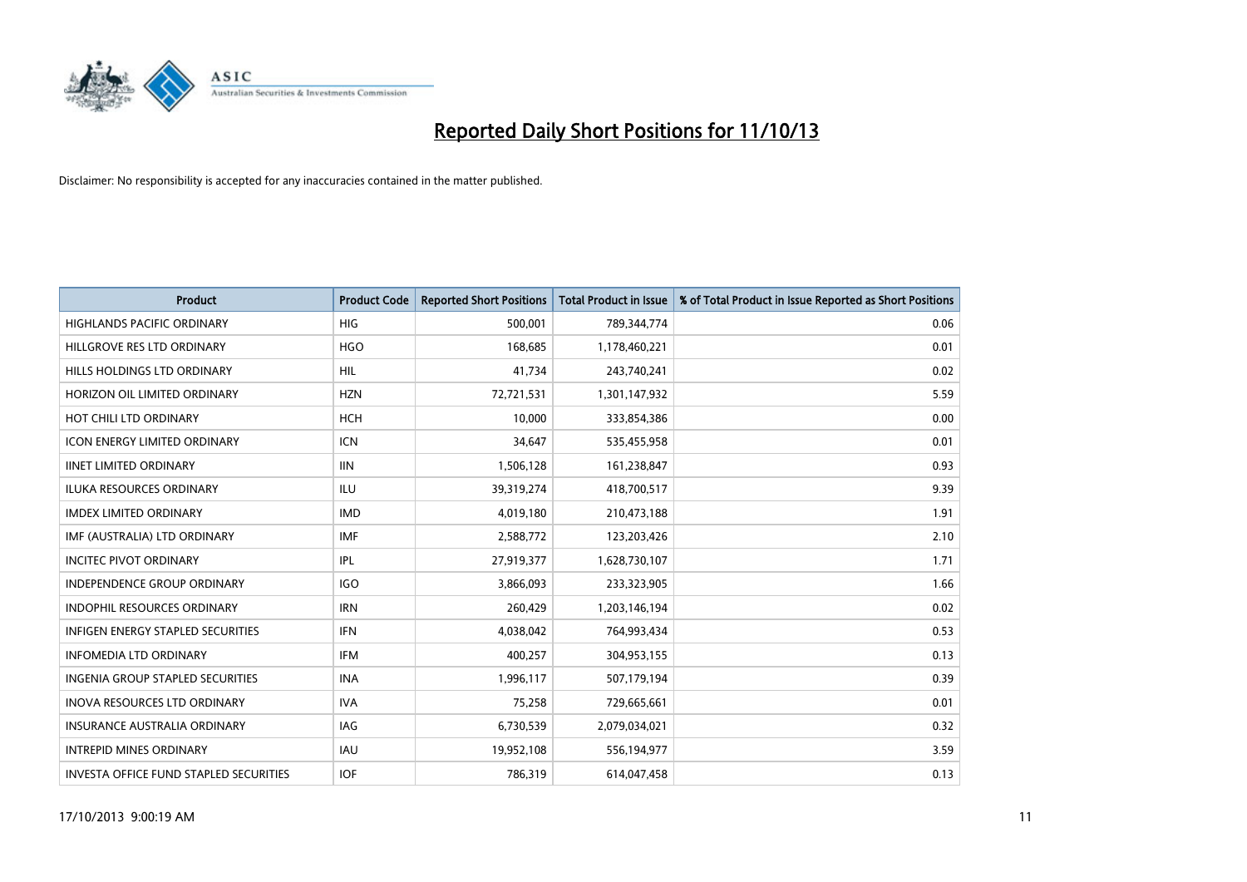

| <b>Product</b>                           | <b>Product Code</b> | <b>Reported Short Positions</b> | <b>Total Product in Issue</b> | % of Total Product in Issue Reported as Short Positions |
|------------------------------------------|---------------------|---------------------------------|-------------------------------|---------------------------------------------------------|
| <b>HIGHLANDS PACIFIC ORDINARY</b>        | <b>HIG</b>          | 500,001                         | 789,344,774                   | 0.06                                                    |
| HILLGROVE RES LTD ORDINARY               | <b>HGO</b>          | 168,685                         | 1,178,460,221                 | 0.01                                                    |
| HILLS HOLDINGS LTD ORDINARY              | <b>HIL</b>          | 41,734                          | 243,740,241                   | 0.02                                                    |
| HORIZON OIL LIMITED ORDINARY             | <b>HZN</b>          | 72,721,531                      | 1,301,147,932                 | 5.59                                                    |
| HOT CHILI LTD ORDINARY                   | HCH                 | 10,000                          | 333,854,386                   | 0.00                                                    |
| <b>ICON ENERGY LIMITED ORDINARY</b>      | <b>ICN</b>          | 34,647                          | 535,455,958                   | 0.01                                                    |
| <b>IINET LIMITED ORDINARY</b>            | <b>IIN</b>          | 1,506,128                       | 161,238,847                   | 0.93                                                    |
| ILUKA RESOURCES ORDINARY                 | ILU                 | 39,319,274                      | 418,700,517                   | 9.39                                                    |
| <b>IMDEX LIMITED ORDINARY</b>            | <b>IMD</b>          | 4,019,180                       | 210,473,188                   | 1.91                                                    |
| IMF (AUSTRALIA) LTD ORDINARY             | <b>IMF</b>          | 2,588,772                       | 123,203,426                   | 2.10                                                    |
| <b>INCITEC PIVOT ORDINARY</b>            | <b>IPL</b>          | 27,919,377                      | 1,628,730,107                 | 1.71                                                    |
| <b>INDEPENDENCE GROUP ORDINARY</b>       | <b>IGO</b>          | 3,866,093                       | 233,323,905                   | 1.66                                                    |
| INDOPHIL RESOURCES ORDINARY              | <b>IRN</b>          | 260,429                         | 1,203,146,194                 | 0.02                                                    |
| <b>INFIGEN ENERGY STAPLED SECURITIES</b> | <b>IFN</b>          | 4,038,042                       | 764,993,434                   | 0.53                                                    |
| <b>INFOMEDIA LTD ORDINARY</b>            | <b>IFM</b>          | 400,257                         | 304,953,155                   | 0.13                                                    |
| INGENIA GROUP STAPLED SECURITIES         | <b>INA</b>          | 1,996,117                       | 507,179,194                   | 0.39                                                    |
| <b>INOVA RESOURCES LTD ORDINARY</b>      | <b>IVA</b>          | 75,258                          | 729,665,661                   | 0.01                                                    |
| <b>INSURANCE AUSTRALIA ORDINARY</b>      | IAG                 | 6,730,539                       | 2,079,034,021                 | 0.32                                                    |
| <b>INTREPID MINES ORDINARY</b>           | <b>IAU</b>          | 19,952,108                      | 556,194,977                   | 3.59                                                    |
| INVESTA OFFICE FUND STAPLED SECURITIES   | <b>IOF</b>          | 786,319                         | 614,047,458                   | 0.13                                                    |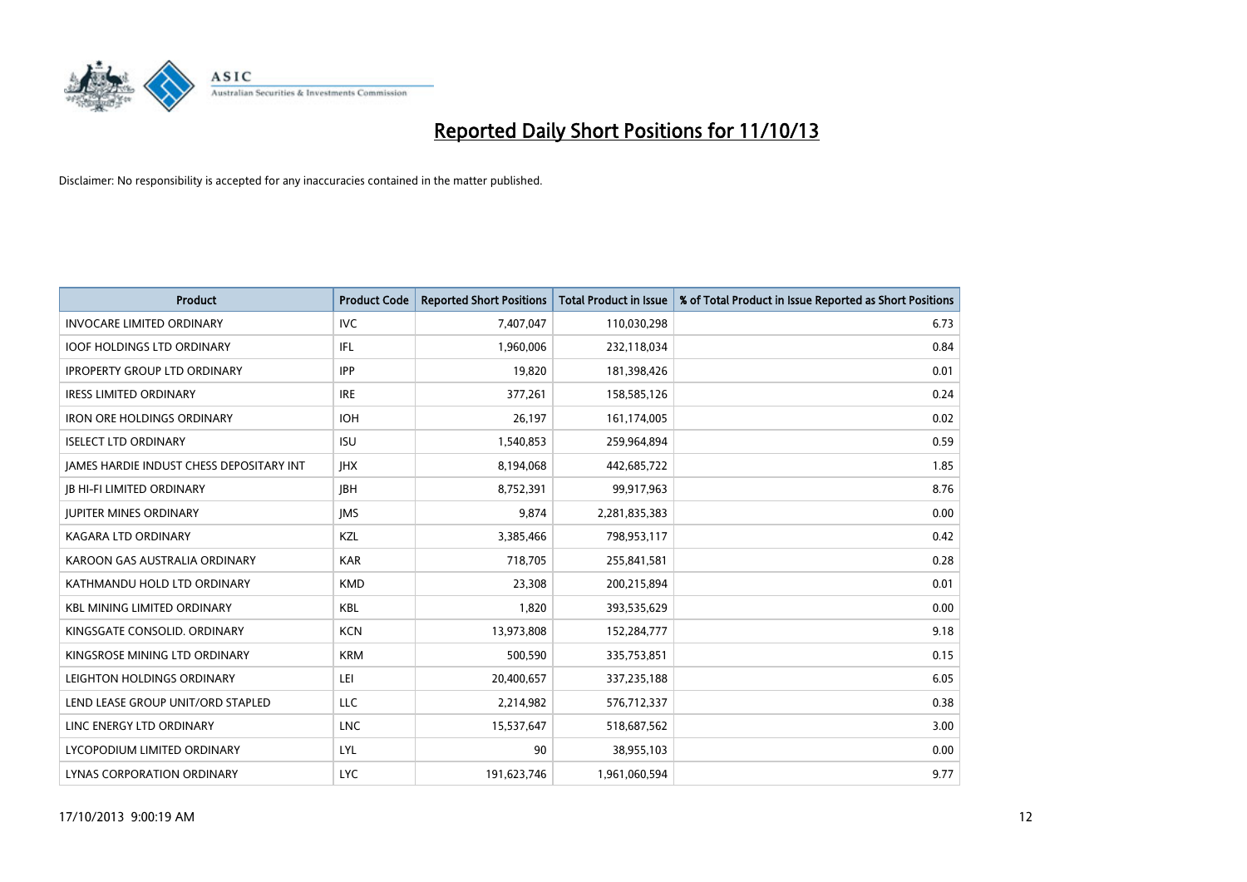

| <b>Product</b>                           | <b>Product Code</b> | <b>Reported Short Positions</b> | <b>Total Product in Issue</b> | % of Total Product in Issue Reported as Short Positions |
|------------------------------------------|---------------------|---------------------------------|-------------------------------|---------------------------------------------------------|
| <b>INVOCARE LIMITED ORDINARY</b>         | <b>IVC</b>          | 7,407,047                       | 110,030,298                   | 6.73                                                    |
| <b>IOOF HOLDINGS LTD ORDINARY</b>        | IFL                 | 1,960,006                       | 232,118,034                   | 0.84                                                    |
| <b>IPROPERTY GROUP LTD ORDINARY</b>      | <b>IPP</b>          | 19,820                          | 181,398,426                   | 0.01                                                    |
| <b>IRESS LIMITED ORDINARY</b>            | <b>IRE</b>          | 377,261                         | 158,585,126                   | 0.24                                                    |
| <b>IRON ORE HOLDINGS ORDINARY</b>        | <b>IOH</b>          | 26.197                          | 161,174,005                   | 0.02                                                    |
| <b>ISELECT LTD ORDINARY</b>              | <b>ISU</b>          | 1,540,853                       | 259,964,894                   | 0.59                                                    |
| JAMES HARDIE INDUST CHESS DEPOSITARY INT | <b>IHX</b>          | 8,194,068                       | 442,685,722                   | 1.85                                                    |
| <b>JB HI-FI LIMITED ORDINARY</b>         | <b>IBH</b>          | 8,752,391                       | 99,917,963                    | 8.76                                                    |
| <b>JUPITER MINES ORDINARY</b>            | <b>IMS</b>          | 9,874                           | 2,281,835,383                 | 0.00                                                    |
| <b>KAGARA LTD ORDINARY</b>               | KZL                 | 3,385,466                       | 798,953,117                   | 0.42                                                    |
| KAROON GAS AUSTRALIA ORDINARY            | <b>KAR</b>          | 718,705                         | 255,841,581                   | 0.28                                                    |
| KATHMANDU HOLD LTD ORDINARY              | <b>KMD</b>          | 23,308                          | 200,215,894                   | 0.01                                                    |
| <b>KBL MINING LIMITED ORDINARY</b>       | <b>KBL</b>          | 1.820                           | 393,535,629                   | 0.00                                                    |
| KINGSGATE CONSOLID. ORDINARY             | <b>KCN</b>          | 13,973,808                      | 152,284,777                   | 9.18                                                    |
| KINGSROSE MINING LTD ORDINARY            | <b>KRM</b>          | 500,590                         | 335,753,851                   | 0.15                                                    |
| LEIGHTON HOLDINGS ORDINARY               | LEI.                | 20,400,657                      | 337,235,188                   | 6.05                                                    |
| LEND LEASE GROUP UNIT/ORD STAPLED        | <b>LLC</b>          | 2,214,982                       | 576,712,337                   | 0.38                                                    |
| LINC ENERGY LTD ORDINARY                 | <b>LNC</b>          | 15,537,647                      | 518,687,562                   | 3.00                                                    |
| LYCOPODIUM LIMITED ORDINARY              | LYL                 | 90                              | 38,955,103                    | 0.00                                                    |
| LYNAS CORPORATION ORDINARY               | <b>LYC</b>          | 191,623,746                     | 1,961,060,594                 | 9.77                                                    |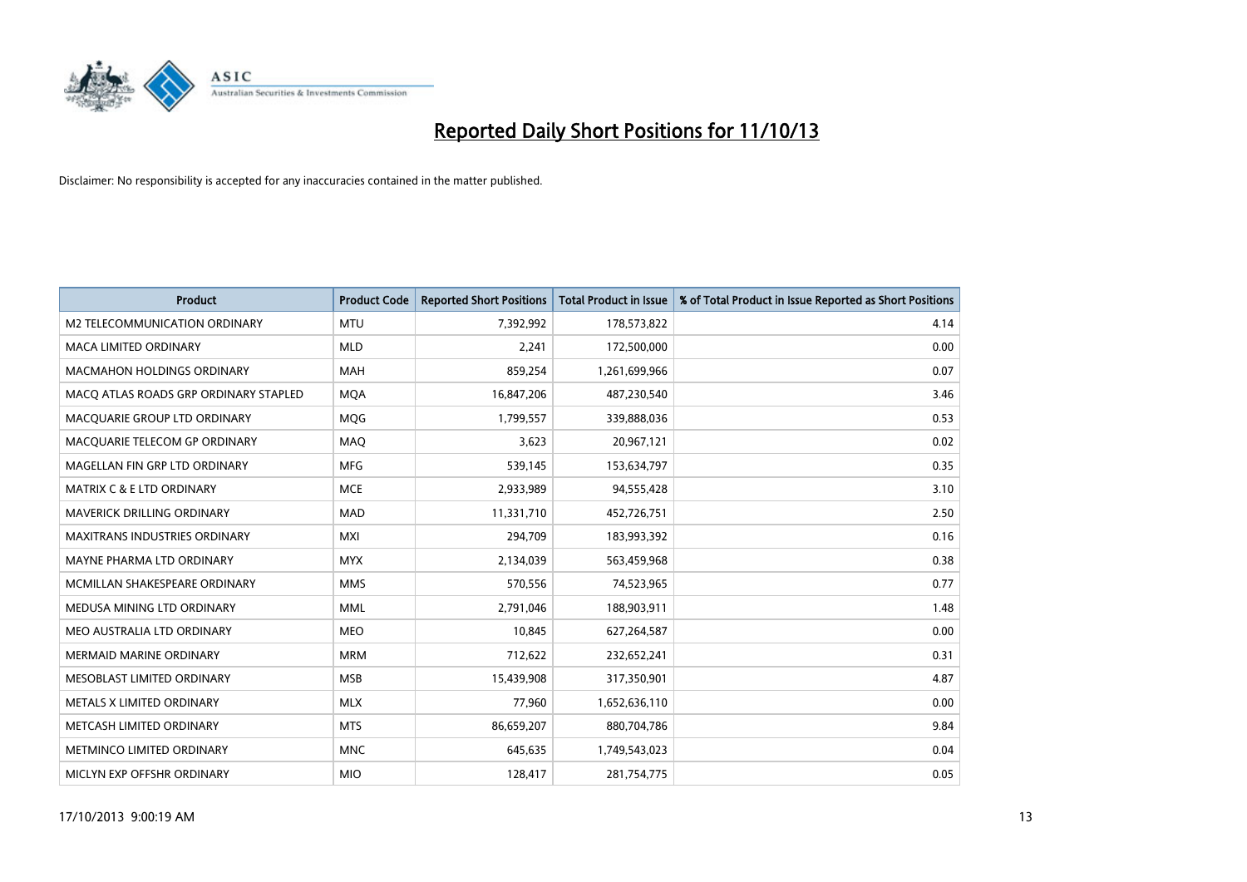

| <b>Product</b>                        | <b>Product Code</b> | <b>Reported Short Positions</b> | <b>Total Product in Issue</b> | % of Total Product in Issue Reported as Short Positions |
|---------------------------------------|---------------------|---------------------------------|-------------------------------|---------------------------------------------------------|
| M2 TELECOMMUNICATION ORDINARY         | <b>MTU</b>          | 7,392,992                       | 178,573,822                   | 4.14                                                    |
| <b>MACA LIMITED ORDINARY</b>          | <b>MLD</b>          | 2.241                           | 172,500,000                   | 0.00                                                    |
| <b>MACMAHON HOLDINGS ORDINARY</b>     | MAH                 | 859,254                         | 1,261,699,966                 | 0.07                                                    |
| MACO ATLAS ROADS GRP ORDINARY STAPLED | <b>MOA</b>          | 16,847,206                      | 487,230,540                   | 3.46                                                    |
| MACOUARIE GROUP LTD ORDINARY          | <b>MOG</b>          | 1,799,557                       | 339,888,036                   | 0.53                                                    |
| MACQUARIE TELECOM GP ORDINARY         | <b>MAQ</b>          | 3,623                           | 20,967,121                    | 0.02                                                    |
| MAGELLAN FIN GRP LTD ORDINARY         | <b>MFG</b>          | 539,145                         | 153,634,797                   | 0.35                                                    |
| MATRIX C & E LTD ORDINARY             | <b>MCE</b>          | 2,933,989                       | 94,555,428                    | 3.10                                                    |
| <b>MAVERICK DRILLING ORDINARY</b>     | <b>MAD</b>          | 11,331,710                      | 452,726,751                   | 2.50                                                    |
| <b>MAXITRANS INDUSTRIES ORDINARY</b>  | <b>MXI</b>          | 294,709                         | 183,993,392                   | 0.16                                                    |
| MAYNE PHARMA LTD ORDINARY             | <b>MYX</b>          | 2,134,039                       | 563,459,968                   | 0.38                                                    |
| MCMILLAN SHAKESPEARE ORDINARY         | <b>MMS</b>          | 570,556                         | 74,523,965                    | 0.77                                                    |
| MEDUSA MINING LTD ORDINARY            | <b>MML</b>          | 2,791,046                       | 188,903,911                   | 1.48                                                    |
| MEO AUSTRALIA LTD ORDINARY            | <b>MEO</b>          | 10,845                          | 627,264,587                   | 0.00                                                    |
| <b>MERMAID MARINE ORDINARY</b>        | <b>MRM</b>          | 712,622                         | 232,652,241                   | 0.31                                                    |
| MESOBLAST LIMITED ORDINARY            | <b>MSB</b>          | 15,439,908                      | 317,350,901                   | 4.87                                                    |
| METALS X LIMITED ORDINARY             | <b>MLX</b>          | 77,960                          | 1,652,636,110                 | 0.00                                                    |
| METCASH LIMITED ORDINARY              | <b>MTS</b>          | 86,659,207                      | 880,704,786                   | 9.84                                                    |
| METMINCO LIMITED ORDINARY             | <b>MNC</b>          | 645,635                         | 1,749,543,023                 | 0.04                                                    |
| MICLYN EXP OFFSHR ORDINARY            | <b>MIO</b>          | 128,417                         | 281,754,775                   | 0.05                                                    |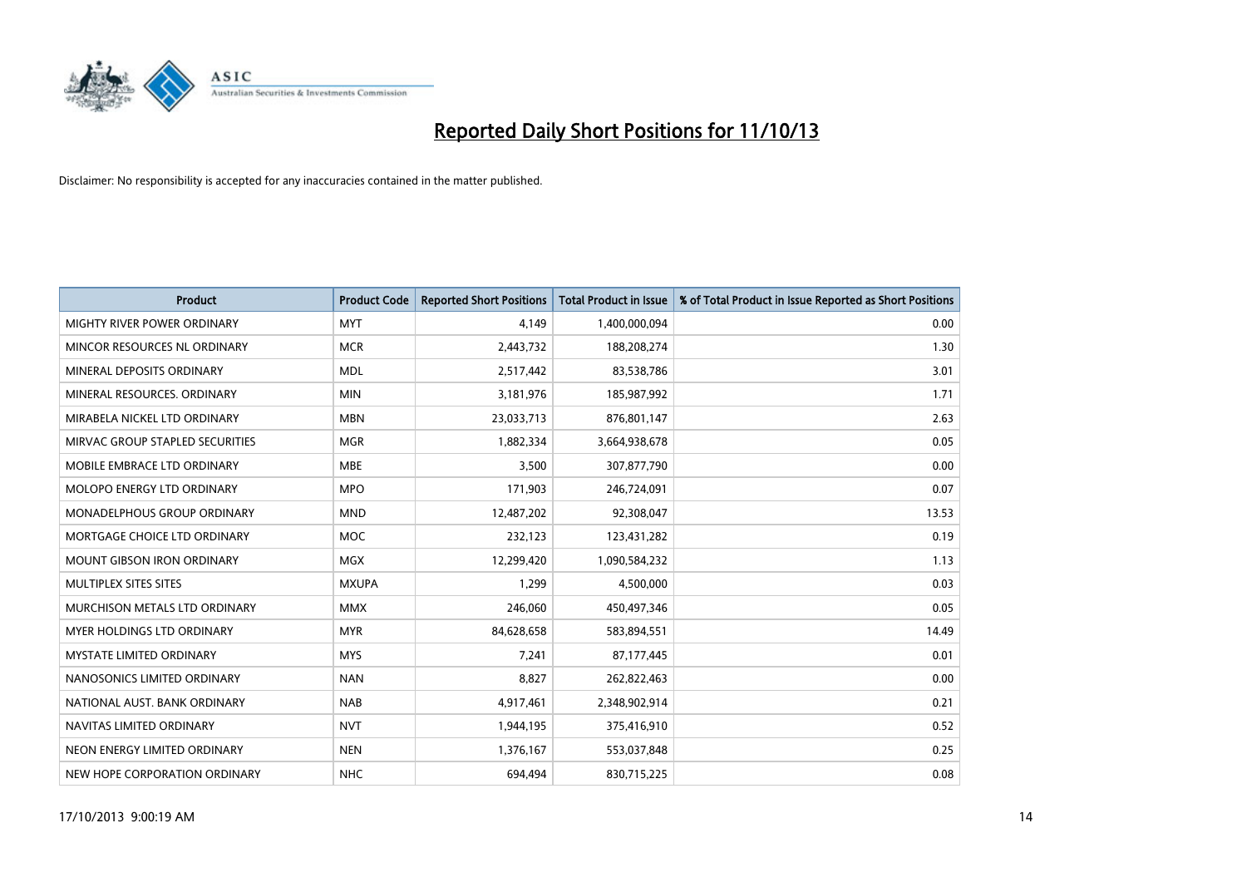

| <b>Product</b>                    | <b>Product Code</b> | <b>Reported Short Positions</b> | <b>Total Product in Issue</b> | % of Total Product in Issue Reported as Short Positions |
|-----------------------------------|---------------------|---------------------------------|-------------------------------|---------------------------------------------------------|
| MIGHTY RIVER POWER ORDINARY       | <b>MYT</b>          | 4,149                           | 1,400,000,094                 | 0.00                                                    |
| MINCOR RESOURCES NL ORDINARY      | <b>MCR</b>          | 2,443,732                       | 188,208,274                   | 1.30                                                    |
| MINERAL DEPOSITS ORDINARY         | <b>MDL</b>          | 2,517,442                       | 83,538,786                    | 3.01                                                    |
| MINERAL RESOURCES, ORDINARY       | <b>MIN</b>          | 3,181,976                       | 185,987,992                   | 1.71                                                    |
| MIRABELA NICKEL LTD ORDINARY      | <b>MBN</b>          | 23,033,713                      | 876,801,147                   | 2.63                                                    |
| MIRVAC GROUP STAPLED SECURITIES   | <b>MGR</b>          | 1,882,334                       | 3,664,938,678                 | 0.05                                                    |
| MOBILE EMBRACE LTD ORDINARY       | <b>MBE</b>          | 3,500                           | 307,877,790                   | 0.00                                                    |
| MOLOPO ENERGY LTD ORDINARY        | <b>MPO</b>          | 171,903                         | 246,724,091                   | 0.07                                                    |
| MONADELPHOUS GROUP ORDINARY       | <b>MND</b>          | 12,487,202                      | 92,308,047                    | 13.53                                                   |
| MORTGAGE CHOICE LTD ORDINARY      | <b>MOC</b>          | 232,123                         | 123,431,282                   | 0.19                                                    |
| <b>MOUNT GIBSON IRON ORDINARY</b> | <b>MGX</b>          | 12,299,420                      | 1,090,584,232                 | 1.13                                                    |
| MULTIPLEX SITES SITES             | <b>MXUPA</b>        | 1,299                           | 4,500,000                     | 0.03                                                    |
| MURCHISON METALS LTD ORDINARY     | <b>MMX</b>          | 246,060                         | 450,497,346                   | 0.05                                                    |
| MYER HOLDINGS LTD ORDINARY        | <b>MYR</b>          | 84,628,658                      | 583,894,551                   | 14.49                                                   |
| <b>MYSTATE LIMITED ORDINARY</b>   | <b>MYS</b>          | 7,241                           | 87,177,445                    | 0.01                                                    |
| NANOSONICS LIMITED ORDINARY       | <b>NAN</b>          | 8,827                           | 262,822,463                   | 0.00                                                    |
| NATIONAL AUST, BANK ORDINARY      | <b>NAB</b>          | 4,917,461                       | 2,348,902,914                 | 0.21                                                    |
| NAVITAS LIMITED ORDINARY          | <b>NVT</b>          | 1,944,195                       | 375,416,910                   | 0.52                                                    |
| NEON ENERGY LIMITED ORDINARY      | <b>NEN</b>          | 1,376,167                       | 553,037,848                   | 0.25                                                    |
| NEW HOPE CORPORATION ORDINARY     | <b>NHC</b>          | 694,494                         | 830,715,225                   | 0.08                                                    |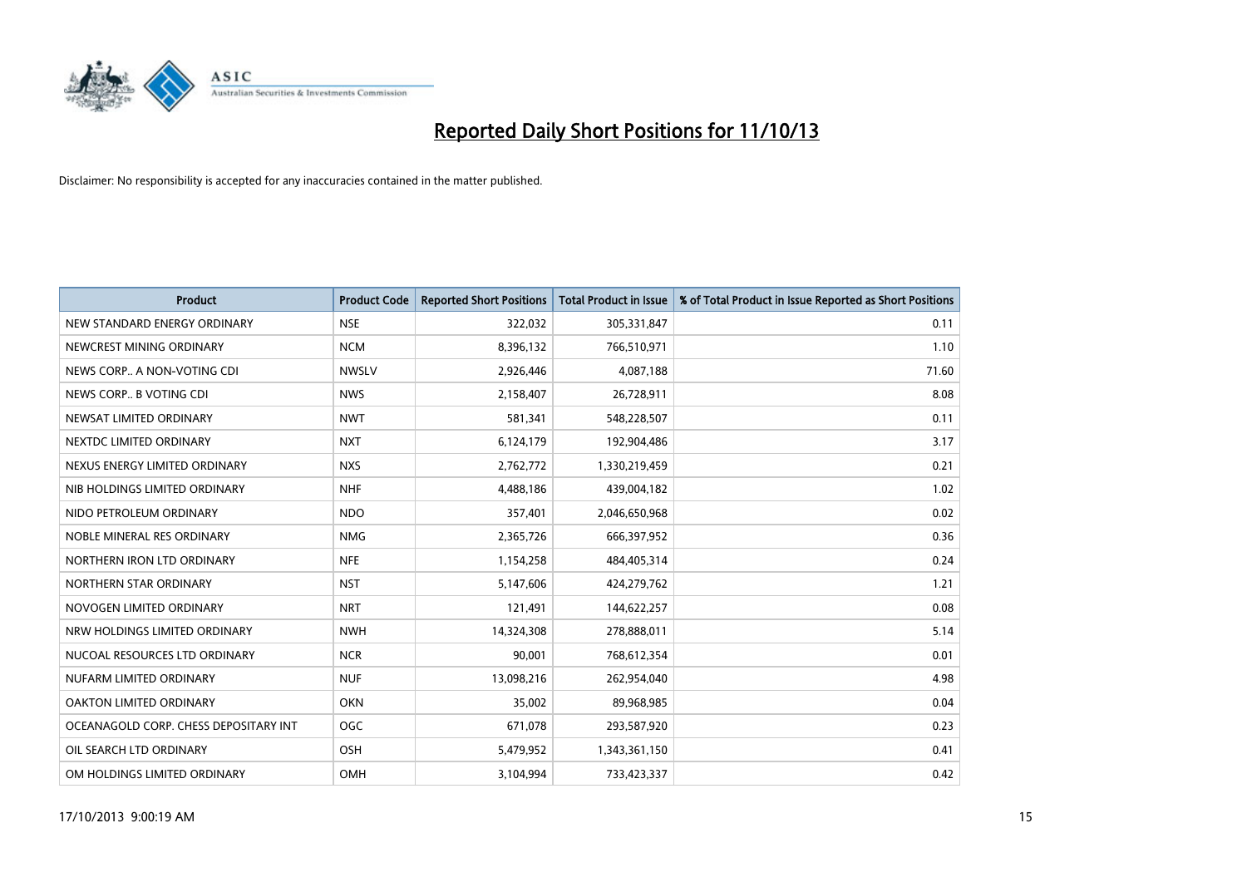

| <b>Product</b>                        | <b>Product Code</b> | <b>Reported Short Positions</b> | <b>Total Product in Issue</b> | % of Total Product in Issue Reported as Short Positions |
|---------------------------------------|---------------------|---------------------------------|-------------------------------|---------------------------------------------------------|
| NEW STANDARD ENERGY ORDINARY          | <b>NSE</b>          | 322,032                         | 305,331,847                   | 0.11                                                    |
| NEWCREST MINING ORDINARY              | <b>NCM</b>          | 8,396,132                       | 766,510,971                   | 1.10                                                    |
| NEWS CORP A NON-VOTING CDI            | <b>NWSLV</b>        | 2,926,446                       | 4,087,188                     | 71.60                                                   |
| NEWS CORP B VOTING CDI                | <b>NWS</b>          | 2,158,407                       | 26,728,911                    | 8.08                                                    |
| NEWSAT LIMITED ORDINARY               | <b>NWT</b>          | 581,341                         | 548,228,507                   | 0.11                                                    |
| NEXTDC LIMITED ORDINARY               | <b>NXT</b>          | 6,124,179                       | 192,904,486                   | 3.17                                                    |
| NEXUS ENERGY LIMITED ORDINARY         | <b>NXS</b>          | 2,762,772                       | 1,330,219,459                 | 0.21                                                    |
| NIB HOLDINGS LIMITED ORDINARY         | <b>NHF</b>          | 4,488,186                       | 439,004,182                   | 1.02                                                    |
| NIDO PETROLEUM ORDINARY               | <b>NDO</b>          | 357,401                         | 2,046,650,968                 | 0.02                                                    |
| NOBLE MINERAL RES ORDINARY            | <b>NMG</b>          | 2,365,726                       | 666,397,952                   | 0.36                                                    |
| NORTHERN IRON LTD ORDINARY            | <b>NFE</b>          | 1,154,258                       | 484,405,314                   | 0.24                                                    |
| NORTHERN STAR ORDINARY                | <b>NST</b>          | 5,147,606                       | 424,279,762                   | 1.21                                                    |
| NOVOGEN LIMITED ORDINARY              | <b>NRT</b>          | 121,491                         | 144,622,257                   | 0.08                                                    |
| NRW HOLDINGS LIMITED ORDINARY         | <b>NWH</b>          | 14,324,308                      | 278,888,011                   | 5.14                                                    |
| NUCOAL RESOURCES LTD ORDINARY         | <b>NCR</b>          | 90,001                          | 768,612,354                   | 0.01                                                    |
| NUFARM LIMITED ORDINARY               | <b>NUF</b>          | 13,098,216                      | 262,954,040                   | 4.98                                                    |
| OAKTON LIMITED ORDINARY               | <b>OKN</b>          | 35,002                          | 89,968,985                    | 0.04                                                    |
| OCEANAGOLD CORP. CHESS DEPOSITARY INT | <b>OGC</b>          | 671,078                         | 293,587,920                   | 0.23                                                    |
| OIL SEARCH LTD ORDINARY               | OSH                 | 5,479,952                       | 1,343,361,150                 | 0.41                                                    |
| OM HOLDINGS LIMITED ORDINARY          | OMH                 | 3,104,994                       | 733,423,337                   | 0.42                                                    |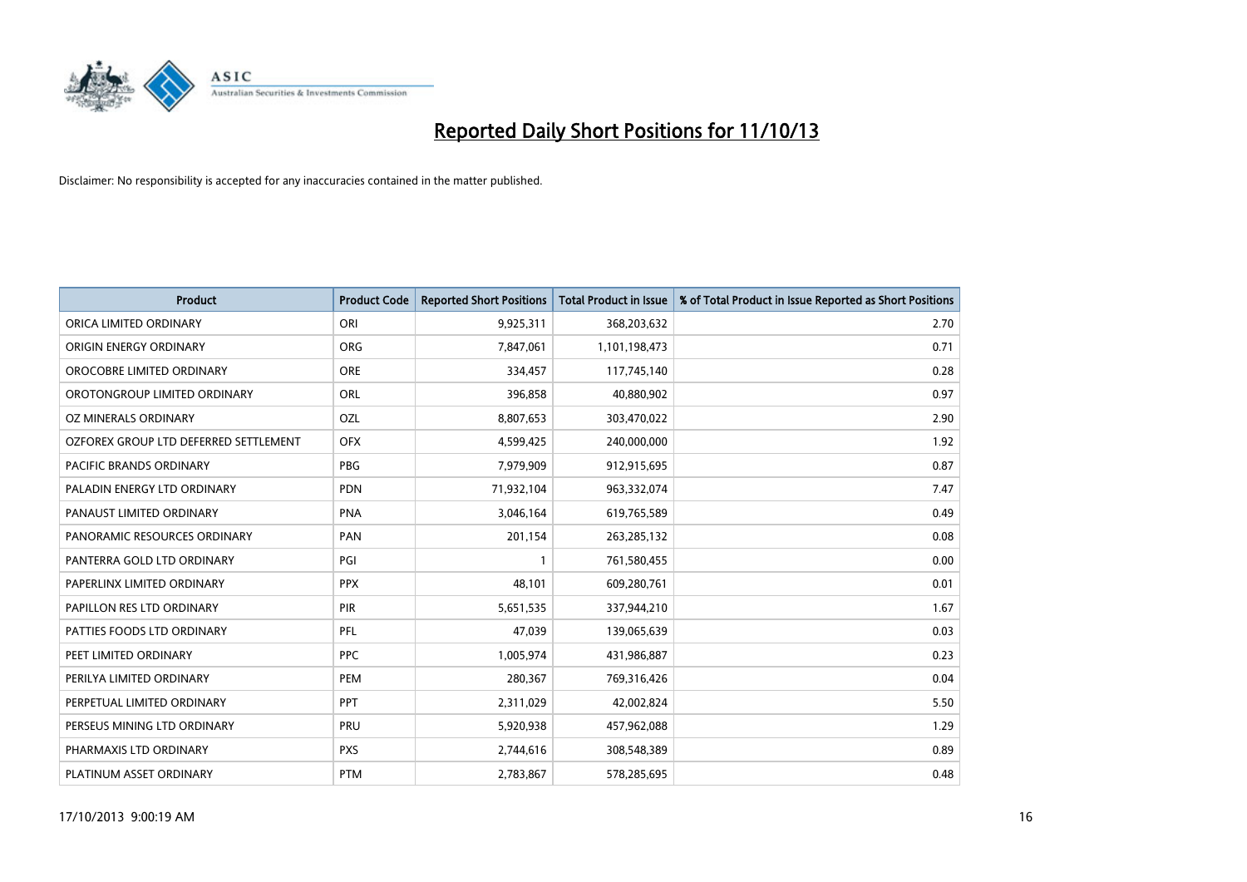

| <b>Product</b>                        | <b>Product Code</b> | <b>Reported Short Positions</b> | <b>Total Product in Issue</b> | % of Total Product in Issue Reported as Short Positions |
|---------------------------------------|---------------------|---------------------------------|-------------------------------|---------------------------------------------------------|
| ORICA LIMITED ORDINARY                | ORI                 | 9,925,311                       | 368,203,632                   | 2.70                                                    |
| ORIGIN ENERGY ORDINARY                | <b>ORG</b>          | 7,847,061                       | 1,101,198,473                 | 0.71                                                    |
| OROCOBRE LIMITED ORDINARY             | <b>ORE</b>          | 334,457                         | 117,745,140                   | 0.28                                                    |
| OROTONGROUP LIMITED ORDINARY          | ORL                 | 396,858                         | 40,880,902                    | 0.97                                                    |
| OZ MINERALS ORDINARY                  | <b>OZL</b>          | 8,807,653                       | 303,470,022                   | 2.90                                                    |
| OZFOREX GROUP LTD DEFERRED SETTLEMENT | <b>OFX</b>          | 4,599,425                       | 240,000,000                   | 1.92                                                    |
| PACIFIC BRANDS ORDINARY               | <b>PBG</b>          | 7,979,909                       | 912,915,695                   | 0.87                                                    |
| PALADIN ENERGY LTD ORDINARY           | <b>PDN</b>          | 71,932,104                      | 963,332,074                   | 7.47                                                    |
| PANAUST LIMITED ORDINARY              | <b>PNA</b>          | 3,046,164                       | 619,765,589                   | 0.49                                                    |
| PANORAMIC RESOURCES ORDINARY          | PAN                 | 201,154                         | 263,285,132                   | 0.08                                                    |
| PANTERRA GOLD LTD ORDINARY            | PGI                 |                                 | 761,580,455                   | 0.00                                                    |
| PAPERLINX LIMITED ORDINARY            | <b>PPX</b>          | 48,101                          | 609,280,761                   | 0.01                                                    |
| PAPILLON RES LTD ORDINARY             | PIR                 | 5,651,535                       | 337,944,210                   | 1.67                                                    |
| PATTIES FOODS LTD ORDINARY            | PFL                 | 47,039                          | 139,065,639                   | 0.03                                                    |
| PEET LIMITED ORDINARY                 | <b>PPC</b>          | 1,005,974                       | 431,986,887                   | 0.23                                                    |
| PERILYA LIMITED ORDINARY              | PEM                 | 280,367                         | 769,316,426                   | 0.04                                                    |
| PERPETUAL LIMITED ORDINARY            | PPT                 | 2,311,029                       | 42,002,824                    | 5.50                                                    |
| PERSEUS MINING LTD ORDINARY           | <b>PRU</b>          | 5,920,938                       | 457,962,088                   | 1.29                                                    |
| PHARMAXIS LTD ORDINARY                | <b>PXS</b>          | 2,744,616                       | 308,548,389                   | 0.89                                                    |
| PLATINUM ASSET ORDINARY               | <b>PTM</b>          | 2,783,867                       | 578,285,695                   | 0.48                                                    |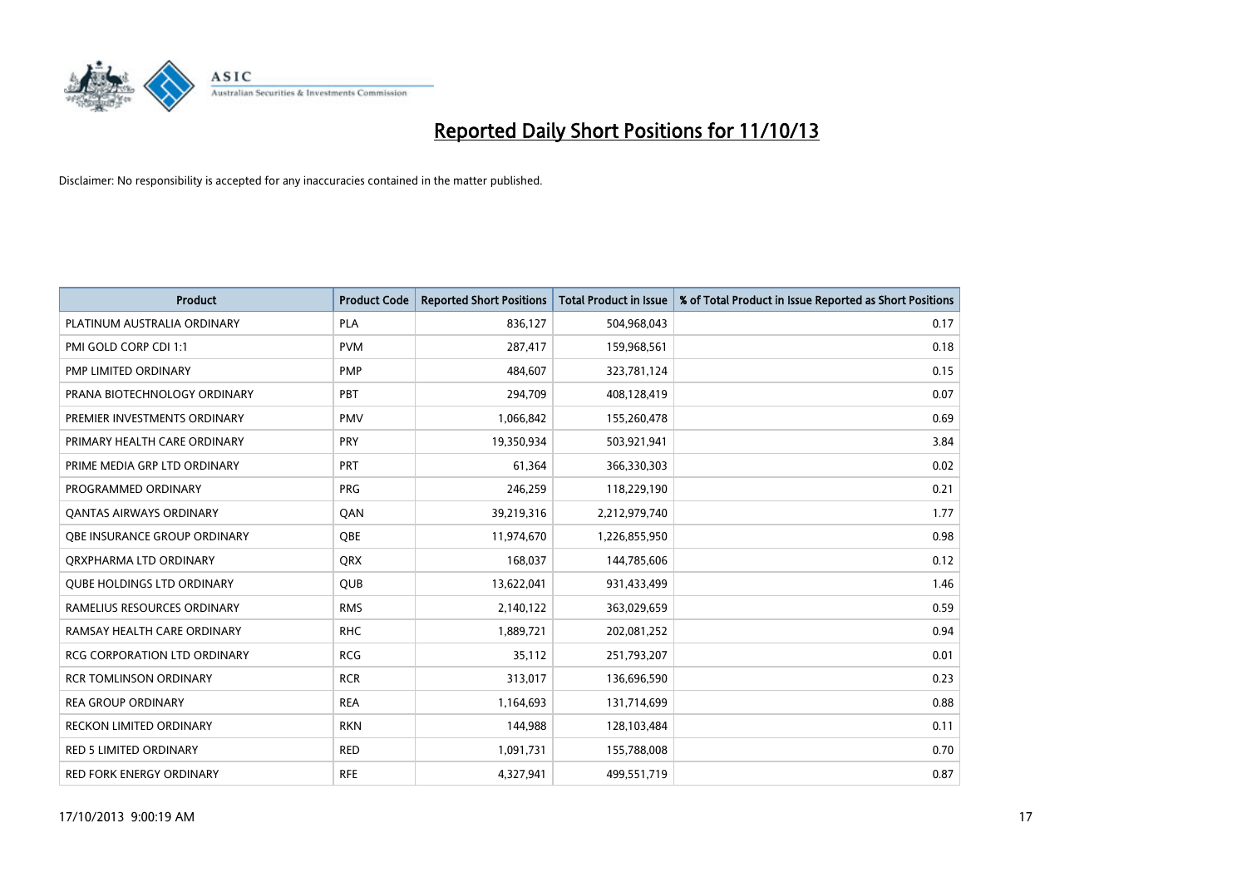

| <b>Product</b>                      | <b>Product Code</b> | <b>Reported Short Positions</b> | <b>Total Product in Issue</b> | % of Total Product in Issue Reported as Short Positions |
|-------------------------------------|---------------------|---------------------------------|-------------------------------|---------------------------------------------------------|
| PLATINUM AUSTRALIA ORDINARY         | <b>PLA</b>          | 836,127                         | 504,968,043                   | 0.17                                                    |
| PMI GOLD CORP CDI 1:1               | <b>PVM</b>          | 287,417                         | 159,968,561                   | 0.18                                                    |
| PMP LIMITED ORDINARY                | <b>PMP</b>          | 484.607                         | 323,781,124                   | 0.15                                                    |
| PRANA BIOTECHNOLOGY ORDINARY        | PBT                 | 294,709                         | 408,128,419                   | 0.07                                                    |
| PREMIER INVESTMENTS ORDINARY        | <b>PMV</b>          | 1,066,842                       | 155,260,478                   | 0.69                                                    |
| PRIMARY HEALTH CARE ORDINARY        | PRY                 | 19,350,934                      | 503,921,941                   | 3.84                                                    |
| PRIME MEDIA GRP LTD ORDINARY        | <b>PRT</b>          | 61,364                          | 366,330,303                   | 0.02                                                    |
| PROGRAMMED ORDINARY                 | <b>PRG</b>          | 246,259                         | 118,229,190                   | 0.21                                                    |
| <b>QANTAS AIRWAYS ORDINARY</b>      | QAN                 | 39,219,316                      | 2,212,979,740                 | 1.77                                                    |
| OBE INSURANCE GROUP ORDINARY        | <b>OBE</b>          | 11,974,670                      | 1,226,855,950                 | 0.98                                                    |
| ORXPHARMA LTD ORDINARY              | <b>QRX</b>          | 168,037                         | 144,785,606                   | 0.12                                                    |
| <b>QUBE HOLDINGS LTD ORDINARY</b>   | QUB                 | 13,622,041                      | 931,433,499                   | 1.46                                                    |
| RAMELIUS RESOURCES ORDINARY         | <b>RMS</b>          | 2,140,122                       | 363,029,659                   | 0.59                                                    |
| RAMSAY HEALTH CARE ORDINARY         | <b>RHC</b>          | 1,889,721                       | 202,081,252                   | 0.94                                                    |
| <b>RCG CORPORATION LTD ORDINARY</b> | <b>RCG</b>          | 35,112                          | 251,793,207                   | 0.01                                                    |
| <b>RCR TOMLINSON ORDINARY</b>       | <b>RCR</b>          | 313,017                         | 136,696,590                   | 0.23                                                    |
| <b>REA GROUP ORDINARY</b>           | <b>REA</b>          | 1,164,693                       | 131,714,699                   | 0.88                                                    |
| RECKON LIMITED ORDINARY             | <b>RKN</b>          | 144,988                         | 128,103,484                   | 0.11                                                    |
| <b>RED 5 LIMITED ORDINARY</b>       | <b>RED</b>          | 1,091,731                       | 155,788,008                   | 0.70                                                    |
| RED FORK ENERGY ORDINARY            | <b>RFE</b>          | 4,327,941                       | 499,551,719                   | 0.87                                                    |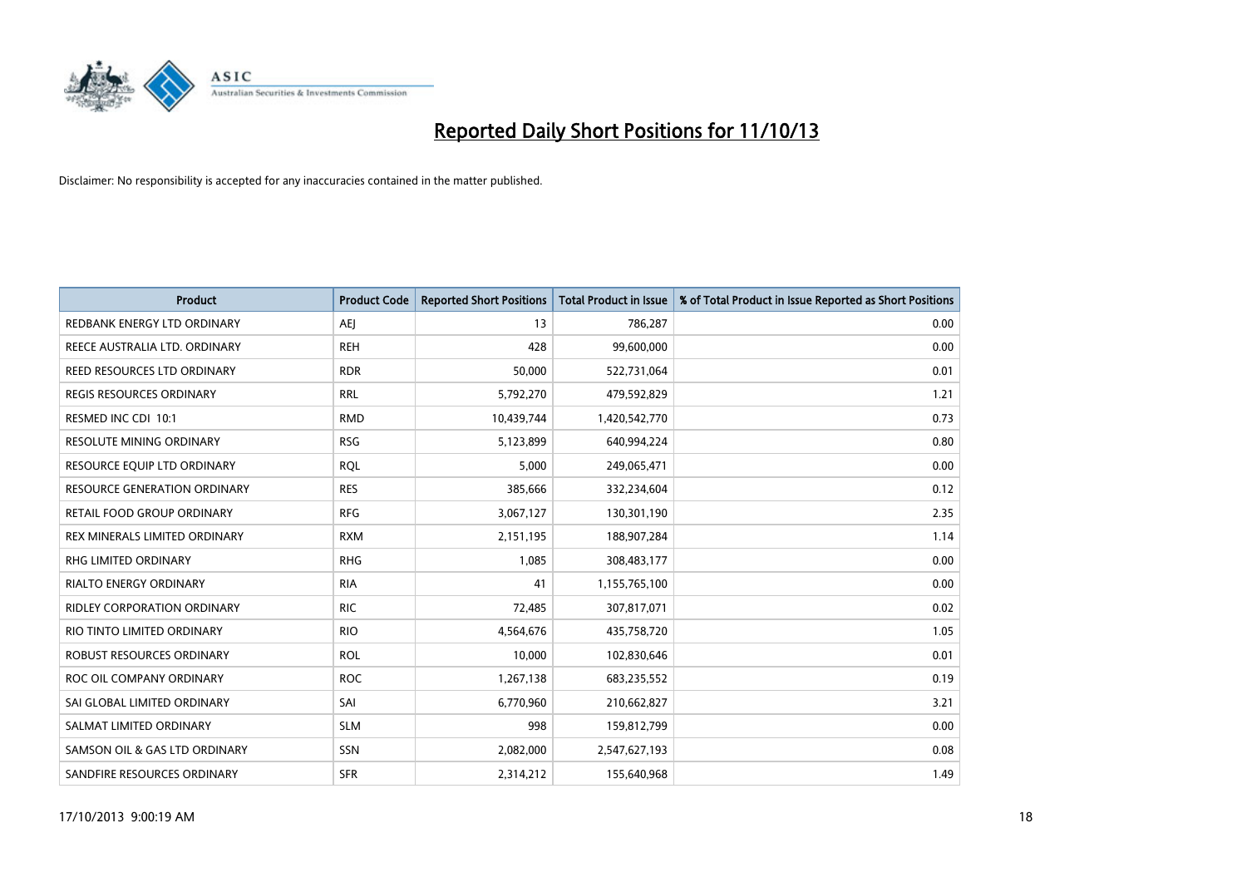

| Product                          | <b>Product Code</b> | <b>Reported Short Positions</b> | <b>Total Product in Issue</b> | % of Total Product in Issue Reported as Short Positions |
|----------------------------------|---------------------|---------------------------------|-------------------------------|---------------------------------------------------------|
| REDBANK ENERGY LTD ORDINARY      | <b>AEJ</b>          | 13                              | 786,287                       | 0.00                                                    |
| REECE AUSTRALIA LTD. ORDINARY    | <b>REH</b>          | 428                             | 99,600,000                    | 0.00                                                    |
| REED RESOURCES LTD ORDINARY      | <b>RDR</b>          | 50,000                          | 522,731,064                   | 0.01                                                    |
| REGIS RESOURCES ORDINARY         | <b>RRL</b>          | 5,792,270                       | 479,592,829                   | 1.21                                                    |
| RESMED INC CDI 10:1              | <b>RMD</b>          | 10,439,744                      | 1,420,542,770                 | 0.73                                                    |
| RESOLUTE MINING ORDINARY         | <b>RSG</b>          | 5,123,899                       | 640,994,224                   | 0.80                                                    |
| RESOURCE EQUIP LTD ORDINARY      | <b>RQL</b>          | 5,000                           | 249,065,471                   | 0.00                                                    |
| RESOURCE GENERATION ORDINARY     | <b>RES</b>          | 385,666                         | 332,234,604                   | 0.12                                                    |
| RETAIL FOOD GROUP ORDINARY       | <b>RFG</b>          | 3,067,127                       | 130,301,190                   | 2.35                                                    |
| REX MINERALS LIMITED ORDINARY    | <b>RXM</b>          | 2,151,195                       | 188,907,284                   | 1.14                                                    |
| RHG LIMITED ORDINARY             | <b>RHG</b>          | 1,085                           | 308,483,177                   | 0.00                                                    |
| RIALTO ENERGY ORDINARY           | <b>RIA</b>          | 41                              | 1,155,765,100                 | 0.00                                                    |
| RIDLEY CORPORATION ORDINARY      | <b>RIC</b>          | 72,485                          | 307,817,071                   | 0.02                                                    |
| RIO TINTO LIMITED ORDINARY       | <b>RIO</b>          | 4,564,676                       | 435,758,720                   | 1.05                                                    |
| <b>ROBUST RESOURCES ORDINARY</b> | <b>ROL</b>          | 10,000                          | 102,830,646                   | 0.01                                                    |
| ROC OIL COMPANY ORDINARY         | <b>ROC</b>          | 1,267,138                       | 683,235,552                   | 0.19                                                    |
| SAI GLOBAL LIMITED ORDINARY      | SAI                 | 6,770,960                       | 210,662,827                   | 3.21                                                    |
| SALMAT LIMITED ORDINARY          | <b>SLM</b>          | 998                             | 159,812,799                   | 0.00                                                    |
| SAMSON OIL & GAS LTD ORDINARY    | SSN                 | 2,082,000                       | 2,547,627,193                 | 0.08                                                    |
| SANDFIRE RESOURCES ORDINARY      | <b>SFR</b>          | 2,314,212                       | 155,640,968                   | 1.49                                                    |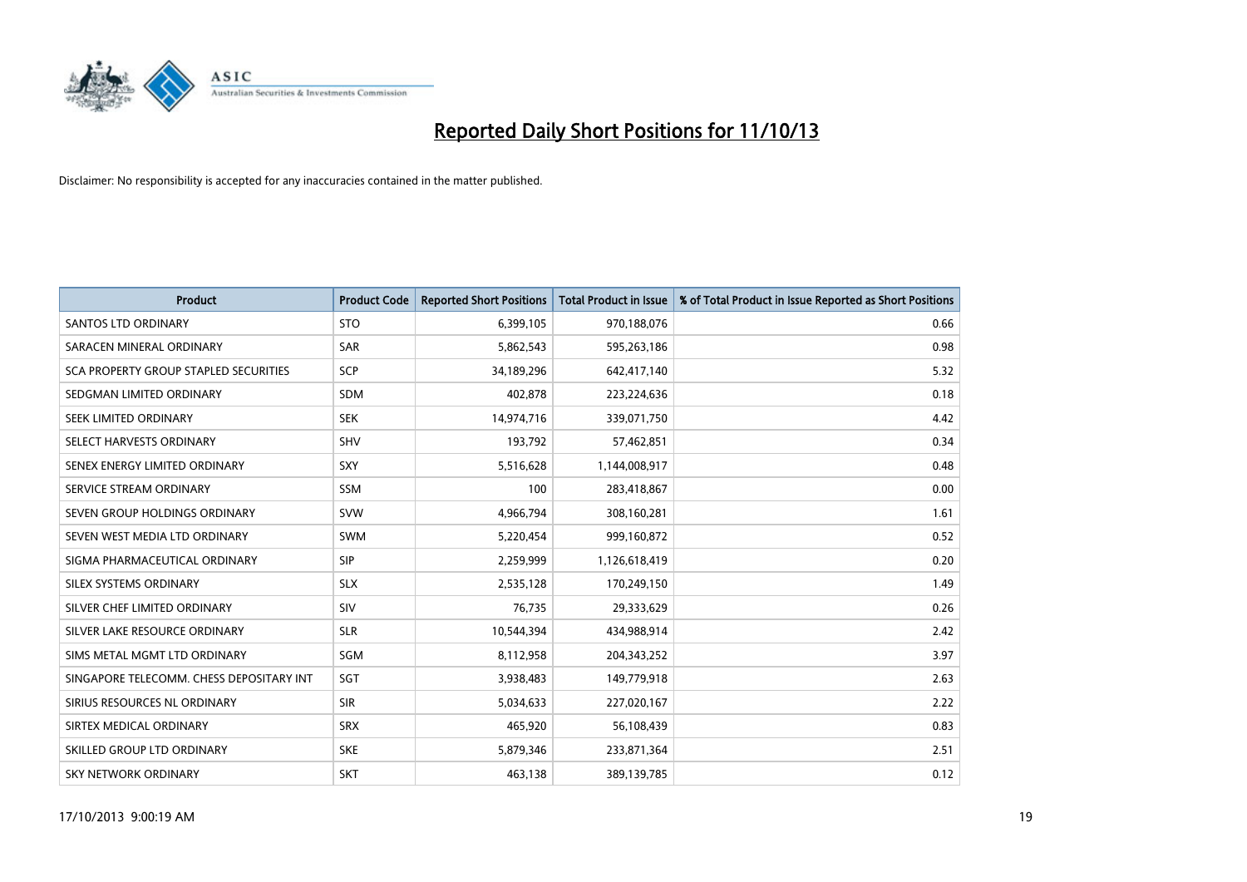

| <b>Product</b>                           | <b>Product Code</b> | <b>Reported Short Positions</b> | <b>Total Product in Issue</b> | % of Total Product in Issue Reported as Short Positions |
|------------------------------------------|---------------------|---------------------------------|-------------------------------|---------------------------------------------------------|
| <b>SANTOS LTD ORDINARY</b>               | <b>STO</b>          | 6,399,105                       | 970,188,076                   | 0.66                                                    |
| SARACEN MINERAL ORDINARY                 | <b>SAR</b>          | 5,862,543                       | 595,263,186                   | 0.98                                                    |
| SCA PROPERTY GROUP STAPLED SECURITIES    | <b>SCP</b>          | 34,189,296                      | 642,417,140                   | 5.32                                                    |
| SEDGMAN LIMITED ORDINARY                 | <b>SDM</b>          | 402,878                         | 223,224,636                   | 0.18                                                    |
| SEEK LIMITED ORDINARY                    | <b>SEK</b>          | 14,974,716                      | 339,071,750                   | 4.42                                                    |
| SELECT HARVESTS ORDINARY                 | SHV                 | 193,792                         | 57,462,851                    | 0.34                                                    |
| SENEX ENERGY LIMITED ORDINARY            | <b>SXY</b>          | 5,516,628                       | 1,144,008,917                 | 0.48                                                    |
| SERVICE STREAM ORDINARY                  | <b>SSM</b>          | 100                             | 283,418,867                   | 0.00                                                    |
| SEVEN GROUP HOLDINGS ORDINARY            | <b>SVW</b>          | 4,966,794                       | 308,160,281                   | 1.61                                                    |
| SEVEN WEST MEDIA LTD ORDINARY            | <b>SWM</b>          | 5,220,454                       | 999,160,872                   | 0.52                                                    |
| SIGMA PHARMACEUTICAL ORDINARY            | <b>SIP</b>          | 2,259,999                       | 1,126,618,419                 | 0.20                                                    |
| SILEX SYSTEMS ORDINARY                   | <b>SLX</b>          | 2,535,128                       | 170,249,150                   | 1.49                                                    |
| SILVER CHEF LIMITED ORDINARY             | SIV                 | 76,735                          | 29,333,629                    | 0.26                                                    |
| SILVER LAKE RESOURCE ORDINARY            | <b>SLR</b>          | 10,544,394                      | 434,988,914                   | 2.42                                                    |
| SIMS METAL MGMT LTD ORDINARY             | SGM                 | 8,112,958                       | 204,343,252                   | 3.97                                                    |
| SINGAPORE TELECOMM. CHESS DEPOSITARY INT | SGT                 | 3,938,483                       | 149,779,918                   | 2.63                                                    |
| SIRIUS RESOURCES NL ORDINARY             | <b>SIR</b>          | 5,034,633                       | 227,020,167                   | 2.22                                                    |
| SIRTEX MEDICAL ORDINARY                  | <b>SRX</b>          | 465,920                         | 56,108,439                    | 0.83                                                    |
| SKILLED GROUP LTD ORDINARY               | <b>SKE</b>          | 5,879,346                       | 233,871,364                   | 2.51                                                    |
| SKY NETWORK ORDINARY                     | <b>SKT</b>          | 463,138                         | 389,139,785                   | 0.12                                                    |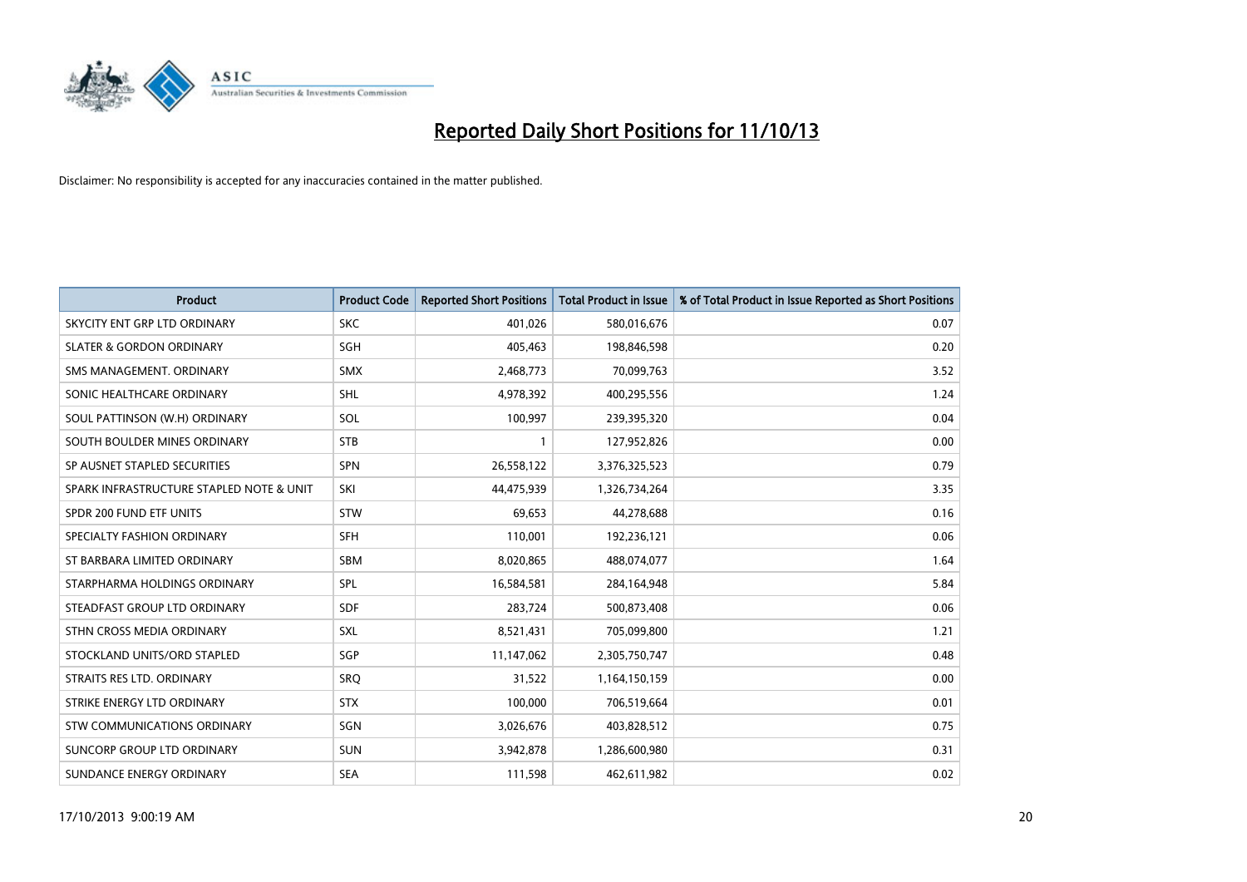

| <b>Product</b>                           | <b>Product Code</b> | <b>Reported Short Positions</b> | <b>Total Product in Issue</b> | % of Total Product in Issue Reported as Short Positions |
|------------------------------------------|---------------------|---------------------------------|-------------------------------|---------------------------------------------------------|
| SKYCITY ENT GRP LTD ORDINARY             | <b>SKC</b>          | 401,026                         | 580,016,676                   | 0.07                                                    |
| <b>SLATER &amp; GORDON ORDINARY</b>      | <b>SGH</b>          | 405,463                         | 198,846,598                   | 0.20                                                    |
| SMS MANAGEMENT, ORDINARY                 | <b>SMX</b>          | 2,468,773                       | 70,099,763                    | 3.52                                                    |
| SONIC HEALTHCARE ORDINARY                | <b>SHL</b>          | 4,978,392                       | 400,295,556                   | 1.24                                                    |
| SOUL PATTINSON (W.H) ORDINARY            | SOL                 | 100,997                         | 239,395,320                   | 0.04                                                    |
| SOUTH BOULDER MINES ORDINARY             | <b>STB</b>          | $\mathbf{1}$                    | 127,952,826                   | 0.00                                                    |
| SP AUSNET STAPLED SECURITIES             | <b>SPN</b>          | 26,558,122                      | 3,376,325,523                 | 0.79                                                    |
| SPARK INFRASTRUCTURE STAPLED NOTE & UNIT | SKI                 | 44,475,939                      | 1,326,734,264                 | 3.35                                                    |
| SPDR 200 FUND ETF UNITS                  | <b>STW</b>          | 69,653                          | 44,278,688                    | 0.16                                                    |
| SPECIALTY FASHION ORDINARY               | <b>SFH</b>          | 110,001                         | 192,236,121                   | 0.06                                                    |
| ST BARBARA LIMITED ORDINARY              | SBM                 | 8,020,865                       | 488,074,077                   | 1.64                                                    |
| STARPHARMA HOLDINGS ORDINARY             | <b>SPL</b>          | 16,584,581                      | 284,164,948                   | 5.84                                                    |
| STEADFAST GROUP LTD ORDINARY             | <b>SDF</b>          | 283,724                         | 500,873,408                   | 0.06                                                    |
| STHN CROSS MEDIA ORDINARY                | <b>SXL</b>          | 8,521,431                       | 705,099,800                   | 1.21                                                    |
| STOCKLAND UNITS/ORD STAPLED              | SGP                 | 11,147,062                      | 2,305,750,747                 | 0.48                                                    |
| STRAITS RES LTD. ORDINARY                | SRO                 | 31,522                          | 1,164,150,159                 | 0.00                                                    |
| STRIKE ENERGY LTD ORDINARY               | <b>STX</b>          | 100,000                         | 706,519,664                   | 0.01                                                    |
| STW COMMUNICATIONS ORDINARY              | SGN                 | 3,026,676                       | 403,828,512                   | 0.75                                                    |
| SUNCORP GROUP LTD ORDINARY               | <b>SUN</b>          | 3,942,878                       | 1,286,600,980                 | 0.31                                                    |
| SUNDANCE ENERGY ORDINARY                 | <b>SEA</b>          | 111,598                         | 462,611,982                   | 0.02                                                    |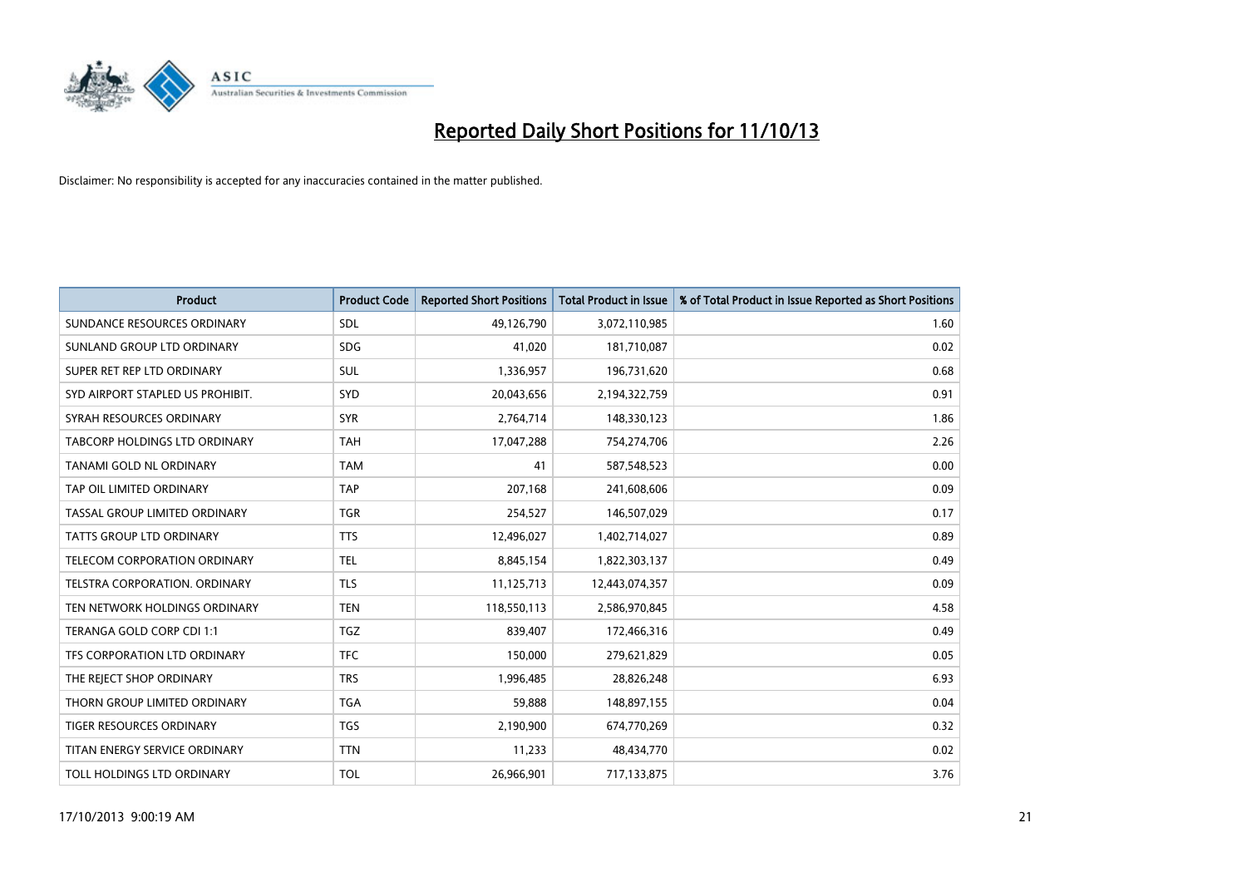

| <b>Product</b>                       | <b>Product Code</b> | <b>Reported Short Positions</b> | <b>Total Product in Issue</b> | % of Total Product in Issue Reported as Short Positions |
|--------------------------------------|---------------------|---------------------------------|-------------------------------|---------------------------------------------------------|
| SUNDANCE RESOURCES ORDINARY          | SDL                 | 49,126,790                      | 3,072,110,985                 | 1.60                                                    |
| SUNLAND GROUP LTD ORDINARY           | <b>SDG</b>          | 41,020                          | 181,710,087                   | 0.02                                                    |
| SUPER RET REP LTD ORDINARY           | SUL                 | 1,336,957                       | 196,731,620                   | 0.68                                                    |
| SYD AIRPORT STAPLED US PROHIBIT.     | <b>SYD</b>          | 20,043,656                      | 2,194,322,759                 | 0.91                                                    |
| SYRAH RESOURCES ORDINARY             | <b>SYR</b>          | 2,764,714                       | 148,330,123                   | 1.86                                                    |
| TABCORP HOLDINGS LTD ORDINARY        | <b>TAH</b>          | 17,047,288                      | 754,274,706                   | 2.26                                                    |
| TANAMI GOLD NL ORDINARY              | <b>TAM</b>          | 41                              | 587,548,523                   | 0.00                                                    |
| TAP OIL LIMITED ORDINARY             | <b>TAP</b>          | 207,168                         | 241,608,606                   | 0.09                                                    |
| TASSAL GROUP LIMITED ORDINARY        | <b>TGR</b>          | 254,527                         | 146,507,029                   | 0.17                                                    |
| TATTS GROUP LTD ORDINARY             | <b>TTS</b>          | 12,496,027                      | 1,402,714,027                 | 0.89                                                    |
| TELECOM CORPORATION ORDINARY         | <b>TEL</b>          | 8,845,154                       | 1,822,303,137                 | 0.49                                                    |
| <b>TELSTRA CORPORATION, ORDINARY</b> | <b>TLS</b>          | 11,125,713                      | 12,443,074,357                | 0.09                                                    |
| TEN NETWORK HOLDINGS ORDINARY        | <b>TEN</b>          | 118,550,113                     | 2,586,970,845                 | 4.58                                                    |
| TERANGA GOLD CORP CDI 1:1            | <b>TGZ</b>          | 839,407                         | 172,466,316                   | 0.49                                                    |
| TFS CORPORATION LTD ORDINARY         | <b>TFC</b>          | 150,000                         | 279,621,829                   | 0.05                                                    |
| THE REJECT SHOP ORDINARY             | <b>TRS</b>          | 1,996,485                       | 28,826,248                    | 6.93                                                    |
| THORN GROUP LIMITED ORDINARY         | <b>TGA</b>          | 59,888                          | 148,897,155                   | 0.04                                                    |
| TIGER RESOURCES ORDINARY             | <b>TGS</b>          | 2,190,900                       | 674,770,269                   | 0.32                                                    |
| TITAN ENERGY SERVICE ORDINARY        | <b>TTN</b>          | 11,233                          | 48,434,770                    | 0.02                                                    |
| TOLL HOLDINGS LTD ORDINARY           | <b>TOL</b>          | 26,966,901                      | 717,133,875                   | 3.76                                                    |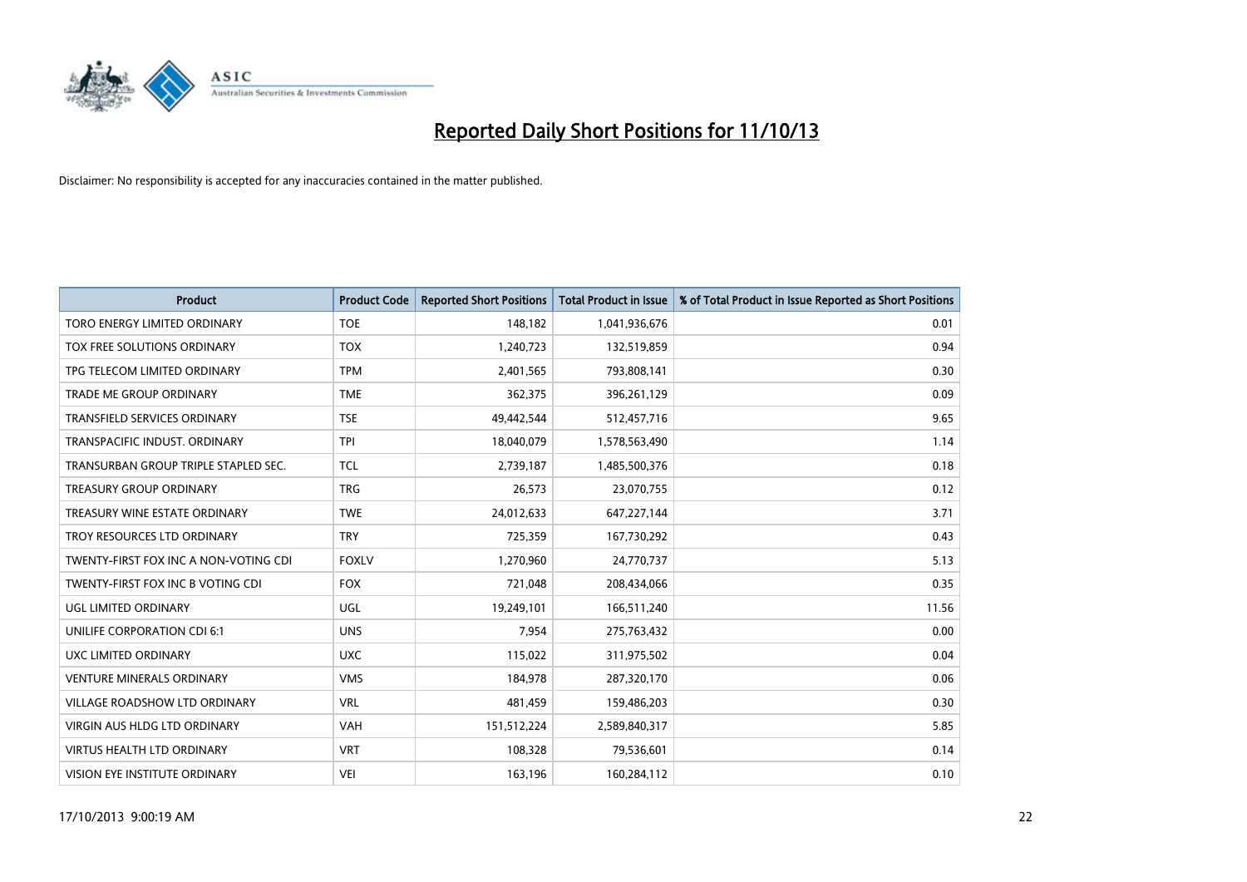

| Product                               | <b>Product Code</b> | <b>Reported Short Positions</b> | <b>Total Product in Issue</b> | % of Total Product in Issue Reported as Short Positions |
|---------------------------------------|---------------------|---------------------------------|-------------------------------|---------------------------------------------------------|
| <b>TORO ENERGY LIMITED ORDINARY</b>   | <b>TOE</b>          | 148,182                         | 1,041,936,676                 | 0.01                                                    |
| TOX FREE SOLUTIONS ORDINARY           | <b>TOX</b>          | 1,240,723                       | 132,519,859                   | 0.94                                                    |
| TPG TELECOM LIMITED ORDINARY          | <b>TPM</b>          | 2,401,565                       | 793,808,141                   | 0.30                                                    |
| TRADE ME GROUP ORDINARY               | <b>TME</b>          | 362,375                         | 396,261,129                   | 0.09                                                    |
| <b>TRANSFIELD SERVICES ORDINARY</b>   | <b>TSE</b>          | 49,442,544                      | 512,457,716                   | 9.65                                                    |
| TRANSPACIFIC INDUST, ORDINARY         | <b>TPI</b>          | 18,040,079                      | 1,578,563,490                 | 1.14                                                    |
| TRANSURBAN GROUP TRIPLE STAPLED SEC.  | <b>TCL</b>          | 2,739,187                       | 1,485,500,376                 | 0.18                                                    |
| TREASURY GROUP ORDINARY               | <b>TRG</b>          | 26,573                          | 23,070,755                    | 0.12                                                    |
| TREASURY WINE ESTATE ORDINARY         | <b>TWE</b>          | 24,012,633                      | 647,227,144                   | 3.71                                                    |
| TROY RESOURCES LTD ORDINARY           | <b>TRY</b>          | 725,359                         | 167,730,292                   | 0.43                                                    |
| TWENTY-FIRST FOX INC A NON-VOTING CDI | <b>FOXLV</b>        | 1,270,960                       | 24,770,737                    | 5.13                                                    |
| TWENTY-FIRST FOX INC B VOTING CDI     | <b>FOX</b>          | 721,048                         | 208,434,066                   | 0.35                                                    |
| UGL LIMITED ORDINARY                  | UGL                 | 19,249,101                      | 166,511,240                   | 11.56                                                   |
| UNILIFE CORPORATION CDI 6:1           | <b>UNS</b>          | 7,954                           | 275,763,432                   | 0.00                                                    |
| UXC LIMITED ORDINARY                  | <b>UXC</b>          | 115,022                         | 311,975,502                   | 0.04                                                    |
| <b>VENTURE MINERALS ORDINARY</b>      | <b>VMS</b>          | 184,978                         | 287,320,170                   | 0.06                                                    |
| VILLAGE ROADSHOW LTD ORDINARY         | <b>VRL</b>          | 481,459                         | 159,486,203                   | 0.30                                                    |
| VIRGIN AUS HLDG LTD ORDINARY          | <b>VAH</b>          | 151,512,224                     | 2,589,840,317                 | 5.85                                                    |
| <b>VIRTUS HEALTH LTD ORDINARY</b>     | <b>VRT</b>          | 108,328                         | 79,536,601                    | 0.14                                                    |
| VISION EYE INSTITUTE ORDINARY         | <b>VEI</b>          | 163,196                         | 160,284,112                   | 0.10                                                    |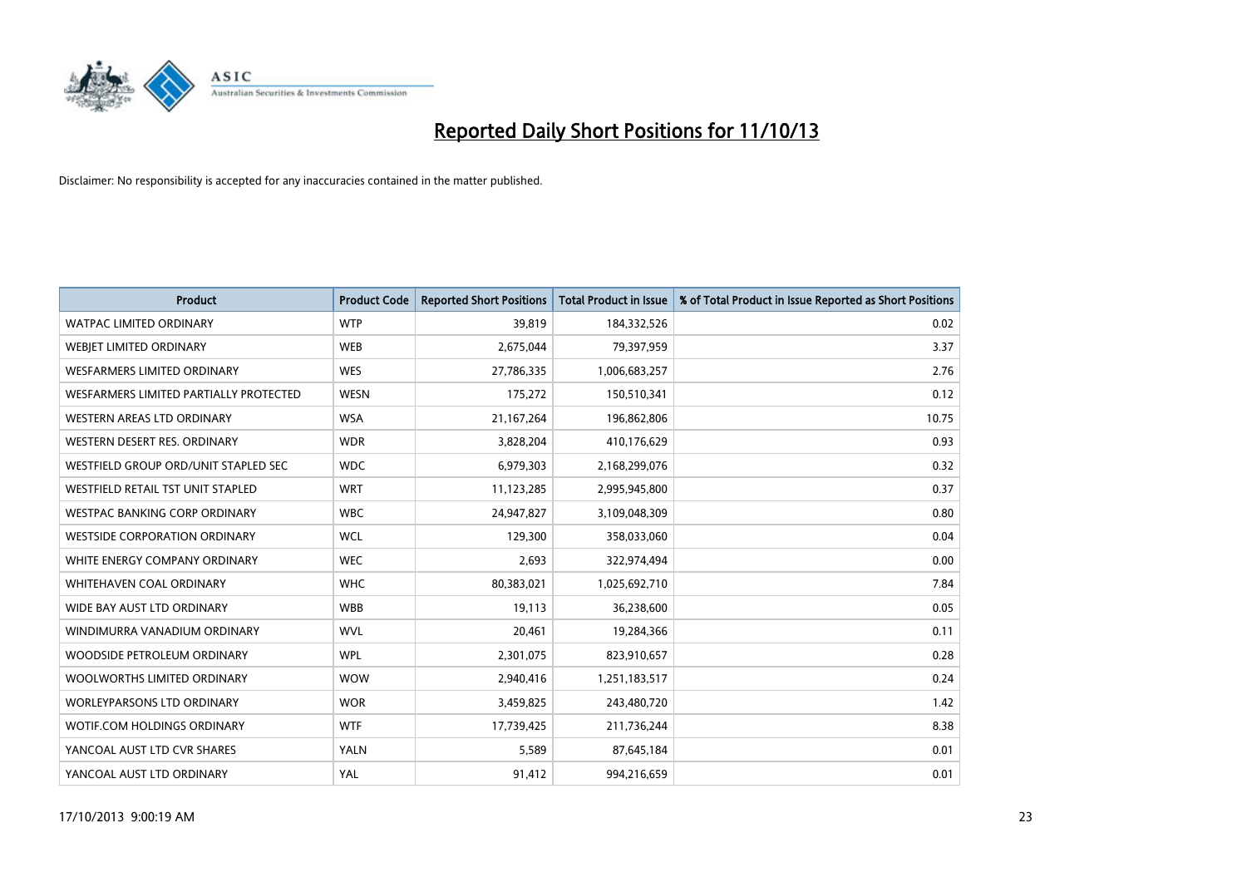

| <b>Product</b>                         | <b>Product Code</b> | <b>Reported Short Positions</b> | <b>Total Product in Issue</b> | % of Total Product in Issue Reported as Short Positions |
|----------------------------------------|---------------------|---------------------------------|-------------------------------|---------------------------------------------------------|
| <b>WATPAC LIMITED ORDINARY</b>         | <b>WTP</b>          | 39,819                          | 184,332,526                   | 0.02                                                    |
| WEBJET LIMITED ORDINARY                | <b>WEB</b>          | 2,675,044                       | 79,397,959                    | 3.37                                                    |
| WESFARMERS LIMITED ORDINARY            | <b>WES</b>          | 27,786,335                      | 1,006,683,257                 | 2.76                                                    |
| WESFARMERS LIMITED PARTIALLY PROTECTED | <b>WESN</b>         | 175,272                         | 150,510,341                   | 0.12                                                    |
| WESTERN AREAS LTD ORDINARY             | <b>WSA</b>          | 21,167,264                      | 196,862,806                   | 10.75                                                   |
| WESTERN DESERT RES. ORDINARY           | <b>WDR</b>          | 3,828,204                       | 410,176,629                   | 0.93                                                    |
| WESTFIELD GROUP ORD/UNIT STAPLED SEC   | <b>WDC</b>          | 6,979,303                       | 2,168,299,076                 | 0.32                                                    |
| WESTFIELD RETAIL TST UNIT STAPLED      | <b>WRT</b>          | 11,123,285                      | 2,995,945,800                 | 0.37                                                    |
| <b>WESTPAC BANKING CORP ORDINARY</b>   | <b>WBC</b>          | 24,947,827                      | 3,109,048,309                 | 0.80                                                    |
| <b>WESTSIDE CORPORATION ORDINARY</b>   | <b>WCL</b>          | 129,300                         | 358,033,060                   | 0.04                                                    |
| WHITE ENERGY COMPANY ORDINARY          | <b>WEC</b>          | 2,693                           | 322,974,494                   | 0.00                                                    |
| WHITEHAVEN COAL ORDINARY               | <b>WHC</b>          | 80,383,021                      | 1,025,692,710                 | 7.84                                                    |
| WIDE BAY AUST LTD ORDINARY             | <b>WBB</b>          | 19,113                          | 36,238,600                    | 0.05                                                    |
| WINDIMURRA VANADIUM ORDINARY           | <b>WVL</b>          | 20,461                          | 19,284,366                    | 0.11                                                    |
| WOODSIDE PETROLEUM ORDINARY            | <b>WPL</b>          | 2,301,075                       | 823,910,657                   | 0.28                                                    |
| WOOLWORTHS LIMITED ORDINARY            | <b>WOW</b>          | 2,940,416                       | 1,251,183,517                 | 0.24                                                    |
| <b>WORLEYPARSONS LTD ORDINARY</b>      | <b>WOR</b>          | 3,459,825                       | 243,480,720                   | 1.42                                                    |
| WOTIF.COM HOLDINGS ORDINARY            | <b>WTF</b>          | 17,739,425                      | 211,736,244                   | 8.38                                                    |
| YANCOAL AUST LTD CVR SHARES            | <b>YALN</b>         | 5,589                           | 87,645,184                    | 0.01                                                    |
| YANCOAL AUST LTD ORDINARY              | YAL                 | 91,412                          | 994,216,659                   | 0.01                                                    |